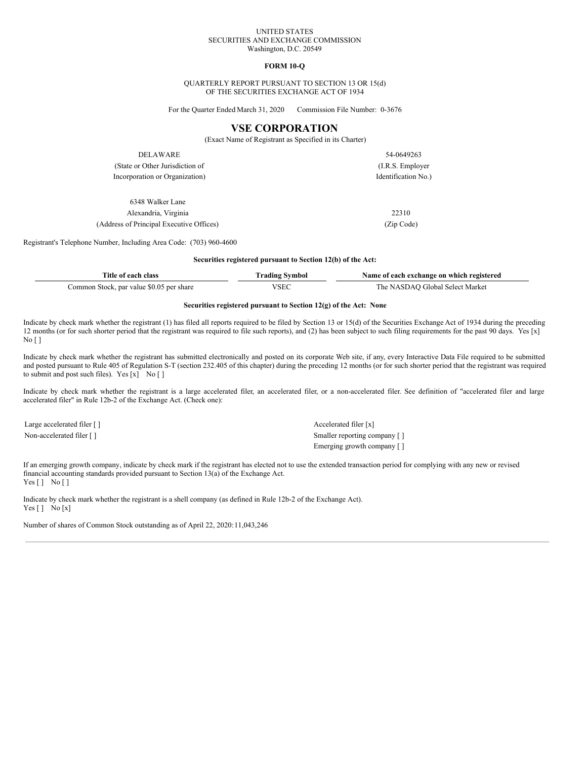## UNITED STATES SECURITIES AND EXCHANGE COMMISSION Washington, D.C. 20549

## **FORM 10-Q**

QUARTERLY REPORT PURSUANT TO SECTION 13 OR 15(d) OF THE SECURITIES EXCHANGE ACT OF 1934

For the Quarter Ended March 31, 2020 Commission File Number: 0-3676

# **VSE CORPORATION**

(Exact Name of Registrant as Specified in its Charter)

| DELAWARE                        | 54-0649263          |
|---------------------------------|---------------------|
| (State or Other Jurisdiction of | (I.R.S. Employer)   |
| Incorporation or Organization)  | Identification No.) |
|                                 |                     |

6348 Walker Lane Alexandria, Virginia 22310 (Address of Principal Executive Offices) (Zip Code)

Registrant's Telephone Number, Including Area Code: (703) 960-4600

## **Securities registered pursuant to Section 12(b) of the Act:**

| Title of each class                      | Frading Symbol | Name of each exchange on which registered |
|------------------------------------------|----------------|-------------------------------------------|
| Common Stock, par value \$0.05 per share | /SEC           | The NASDAQ Global Select Market           |

## **Securities registered pursuant to Section 12(g) of the Act: None**

Indicate by check mark whether the registrant (1) has filed all reports required to be filed by Section 13 or 15(d) of the Securities Exchange Act of 1934 during the preceding 12 months (or for such shorter period that the registrant was required to file such reports), and (2) has been subject to such filing requirements for the past 90 days. Yes [x]  $\overline{N_0}$  [ ]

Indicate by check mark whether the registrant has submitted electronically and posted on its corporate Web site, if any, every Interactive Data File required to be submitted and posted pursuant to Rule 405 of Regulation S-T (section 232.405 of this chapter) during the preceding 12 months (or for such shorter period that the registrant was required to submit and post such files). Yes [x] No [ ]

Indicate by check mark whether the registrant is a large accelerated filer, an accelerated filer, or a non-accelerated filer. See definition of "accelerated filer and large accelerated filer" in Rule 12b-2 of the Exchange Act. (Check one):

Large accelerated filer [1] Accelerated filer [x]

Non-accelerated filer [ ] Smaller reporting company [ ] Emerging growth company [ ]

If an emerging growth company, indicate by check mark if the registrant has elected not to use the extended transaction period for complying with any new or revised financial accounting standards provided pursuant to Section 13(a) of the Exchange Act.  $Yes [ ] No [ ]$ 

Indicate by check mark whether the registrant is a shell company (as defined in Rule 12b-2 of the Exchange Act).  $Yes [ ] No [x]$ 

Number of shares of Common Stock outstanding as of April 22, 2020:11,043,246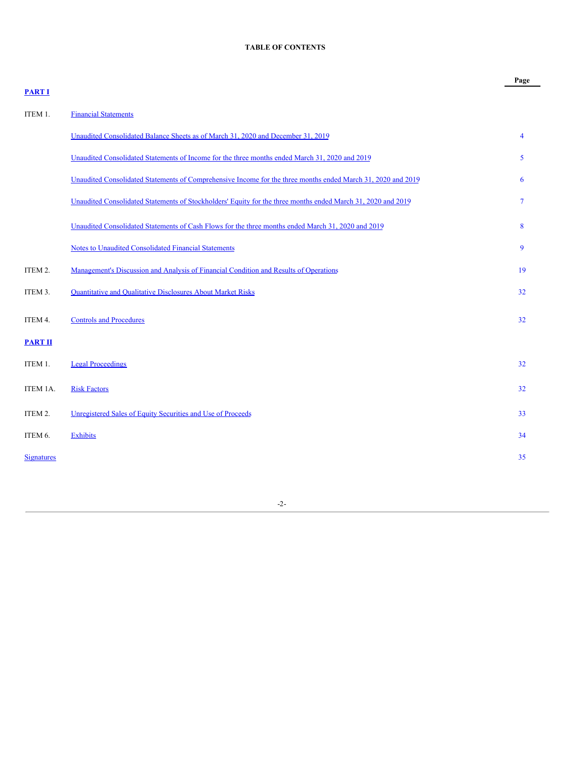# **TABLE OF CONTENTS**

# <span id="page-1-0"></span>**[PART](#page-2-0) I**

# **Page**

| ITEM 1.           | <b>Financial Statements</b>                                                                                  |                   |
|-------------------|--------------------------------------------------------------------------------------------------------------|-------------------|
|                   | Unaudited Consolidated Balance Sheets as of March 31, 2020 and December 31, 2019                             | 4                 |
|                   | Unaudited Consolidated Statements of Income for the three months ended March 31, 2020 and 2019               | $5^{\circ}$       |
|                   | Unaudited Consolidated Statements of Comprehensive Income for the three months ended March 31, 2020 and 2019 | 6                 |
|                   | Unaudited Consolidated Statements of Stockholders' Equity for the three months ended March 31, 2020 and 2019 | $\overline{\tau}$ |
|                   | Unaudited Consolidated Statements of Cash Flows for the three months ended March 31, 2020 and 2019           | 8                 |
|                   | <b>Notes to Unaudited Consolidated Financial Statements</b>                                                  | 9                 |
| ITEM 2.           | Management's Discussion and Analysis of Financial Condition and Results of Operations                        | 19                |
| ITEM 3.           | <b>Quantitative and Qualitative Disclosures About Market Risks</b>                                           | 32                |
| ITEM 4.           | <b>Controls and Procedures</b>                                                                               | 32                |
| <b>PART II</b>    |                                                                                                              |                   |
| ITEM 1.           | <b>Legal Proceedings</b>                                                                                     | 32                |
| ITEM 1A.          | <b>Risk Factors</b>                                                                                          | 32                |
| ITEM 2.           | Unregistered Sales of Equity Securities and Use of Proceeds                                                  | 33                |
| ITEM 6.           | <b>Exhibits</b>                                                                                              | 34                |
| <b>Signatures</b> |                                                                                                              | 35                |
|                   |                                                                                                              |                   |

-2-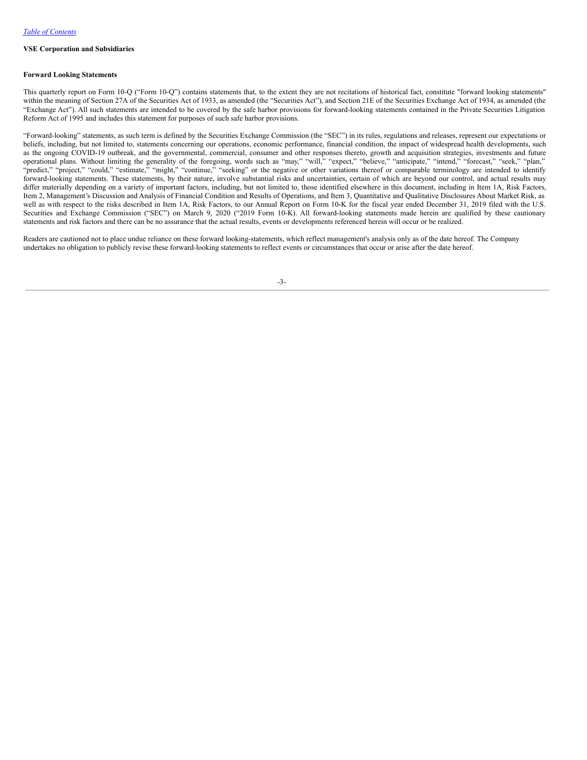#### <span id="page-2-0"></span>**VSE Corporation and Subsidiaries**

### **Forward Looking Statements**

This quarterly report on Form 10-Q ("Form 10-Q") contains statements that, to the extent they are not recitations of historical fact, constitute "forward looking statements" within the meaning of Section 27A of the Securities Act of 1933, as amended (the "Securities Act"), and Section 21E of the Securities Exchange Act of 1934, as amended (the "Exchange Act"). All such statements are intended to be covered by the safe harbor provisions for forward-looking statements contained in the Private Securities Litigation Reform Act of 1995 and includes this statement for purposes of such safe harbor provisions.

"Forward-looking" statements, as such term is defined by the Securities Exchange Commission (the "SEC") in its rules, regulations and releases, represent our expectations or beliefs, including, but not limited to, statements concerning our operations, economic performance, financial condition, the impact of widespread health developments, such as the ongoing COVID-19 outbreak, and the governmental, commercial, consumer and other responses thereto, growth and acquisition strategies, investments and future operational plans. Without limiting the generality of the foregoing, words such as "may," "will," "expect," "believe," "anticipate," "intend," "forecast," "seek," "plan," "predict," "project," "could," "estimate," "might," "continue," "seeking" or the negative or other variations thereof or comparable terminology are intended to identify forward-looking statements. These statements, by their nature, involve substantial risks and uncertainties, certain of which are beyond our control, and actual results may differ materially depending on a variety of important factors, including, but not limited to, those identified elsewhere in this document, including in Item 1A, Risk Factors, Item 2, Management's Discussion and Analysis of Financial Condition and Results of Operations, and Item 3, Quantitative and Qualitative Disclosures About Market Risk, as well as with respect to the risks described in Item 1A, Risk Factors, to our Annual Report on Form 10-K for the fiscal year ended December 31, 2019 filed with the U.S. Securities and Exchange Commission ("SEC") on March 9, 2020 ("2019 Form 10-K). All forward-looking statements made herein are qualified by these cautionary statements and risk factors and there can be no assurance that the actual results, events or developments referenced herein will occur or be realized.

Readers are cautioned not to place undue reliance on these forward looking-statements, which reflect management's analysis only as of the date hereof. The Company undertakes no obligation to publicly revise these forward-looking statements to reflect events or circumstances that occur or arise after the date hereof.

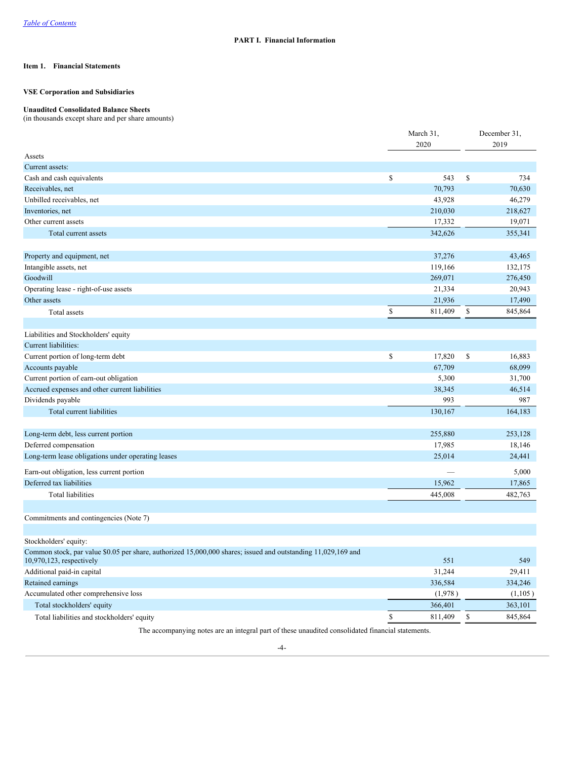# **PART I. Financial Information**

# <span id="page-3-0"></span>**Item 1. Financial Statements**

# <span id="page-3-1"></span>**VSE Corporation and Subsidiaries**

# **Unaudited Consolidated Balance Sheets**

(in thousands except share and per share amounts)

|                                                                                                               |              | March 31, | December 31,  |
|---------------------------------------------------------------------------------------------------------------|--------------|-----------|---------------|
|                                                                                                               |              | 2020      | 2019          |
| Assets                                                                                                        |              |           |               |
| Current assets:                                                                                               |              |           |               |
| Cash and cash equivalents                                                                                     | $\mathbb{S}$ | 543       | \$<br>734     |
| Receivables, net                                                                                              |              | 70,793    | 70,630        |
| Unbilled receivables, net                                                                                     |              | 43,928    | 46,279        |
| Inventories, net                                                                                              |              | 210,030   | 218,627       |
| Other current assets                                                                                          |              | 17,332    | 19,071        |
| Total current assets                                                                                          |              | 342,626   | 355,341       |
| Property and equipment, net                                                                                   |              | 37,276    | 43,465        |
| Intangible assets, net                                                                                        |              | 119,166   | 132,175       |
| Goodwill                                                                                                      |              | 269,071   | 276,450       |
| Operating lease - right-of-use assets                                                                         |              | 21,334    | 20,943        |
| Other assets                                                                                                  |              | 21,936    | 17,490        |
| Total assets                                                                                                  | \$           | 811,409   | \$<br>845,864 |
| Liabilities and Stockholders' equity                                                                          |              |           |               |
| Current liabilities:                                                                                          |              |           |               |
| Current portion of long-term debt                                                                             | \$           | 17,820    | \$<br>16,883  |
| Accounts payable                                                                                              |              | 67,709    | 68,099        |
| Current portion of earn-out obligation                                                                        |              | 5,300     | 31,700        |
| Accrued expenses and other current liabilities                                                                |              | 38,345    | 46,514        |
| Dividends payable                                                                                             |              | 993       | 987           |
| Total current liabilities                                                                                     |              | 130,167   | 164,183       |
|                                                                                                               |              |           |               |
| Long-term debt, less current portion                                                                          |              | 255,880   | 253,128       |
| Deferred compensation                                                                                         |              | 17,985    | 18,146        |
| Long-term lease obligations under operating leases                                                            |              | 25,014    | 24,441        |
| Earn-out obligation, less current portion                                                                     |              |           | 5,000         |
| Deferred tax liabilities                                                                                      |              | 15,962    | 17,865        |
| <b>Total liabilities</b>                                                                                      |              | 445,008   | 482,763       |
| Commitments and contingencies (Note 7)                                                                        |              |           |               |
| Stockholders' equity:                                                                                         |              |           |               |
| Common stock, par value \$0.05 per share, authorized 15,000,000 shares; issued and outstanding 11,029,169 and |              |           |               |
| $10,970,123$ , respectively                                                                                   |              | 551       | 549           |
| Additional paid-in capital                                                                                    |              | 31,244    | 29,411        |
| Retained earnings                                                                                             |              | 336,584   | 334,246       |
| Accumulated other comprehensive loss                                                                          |              | (1,978)   | (1,105)       |
| Total stockholders' equity                                                                                    |              | 366,401   | 363,101       |
| Total liabilities and stockholders' equity                                                                    | $\mathbb{S}$ | 811,409   | \$<br>845,864 |

The accompanying notes are an integral part of these unaudited consolidated financial statements.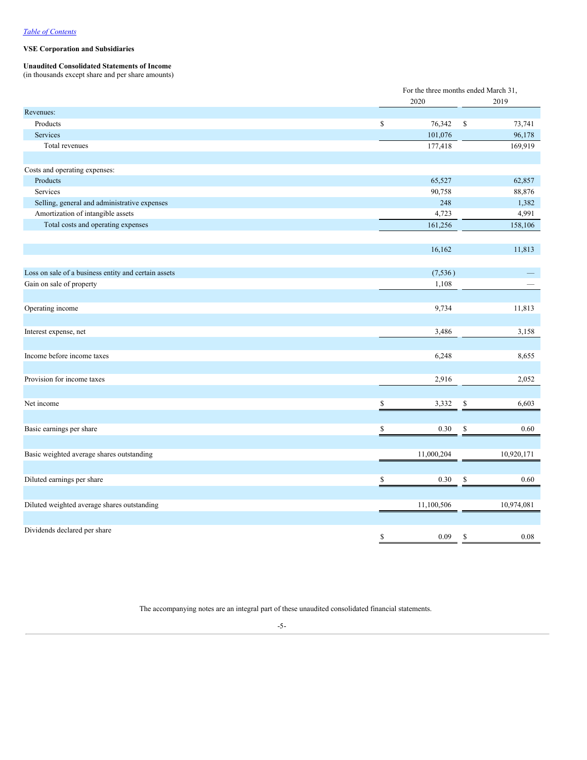# <span id="page-4-0"></span>**VSE Corporation and Subsidiaries**

#### **Unaudited Consolidated Statements of Income**

(in thousands except share and per share amounts)

|                                                      |                                             | For the three months ended March 31, |                                                                                                                                                                                                                                                                                                                                                                                               |  |  |  |
|------------------------------------------------------|---------------------------------------------|--------------------------------------|-----------------------------------------------------------------------------------------------------------------------------------------------------------------------------------------------------------------------------------------------------------------------------------------------------------------------------------------------------------------------------------------------|--|--|--|
|                                                      |                                             | 2020                                 | 2019                                                                                                                                                                                                                                                                                                                                                                                          |  |  |  |
| Revenues:                                            |                                             |                                      |                                                                                                                                                                                                                                                                                                                                                                                               |  |  |  |
| Products                                             | $\mathbb{S}$                                | 76,342                               | \$<br>73,741                                                                                                                                                                                                                                                                                                                                                                                  |  |  |  |
| Services                                             |                                             | 101,076                              | 96,178                                                                                                                                                                                                                                                                                                                                                                                        |  |  |  |
| Total revenues                                       |                                             | 177,418                              | 169,919                                                                                                                                                                                                                                                                                                                                                                                       |  |  |  |
|                                                      |                                             |                                      |                                                                                                                                                                                                                                                                                                                                                                                               |  |  |  |
| Costs and operating expenses:                        |                                             |                                      |                                                                                                                                                                                                                                                                                                                                                                                               |  |  |  |
| Products                                             |                                             | 65,527                               | 62,857                                                                                                                                                                                                                                                                                                                                                                                        |  |  |  |
| Services                                             |                                             | 90,758                               | 88,876                                                                                                                                                                                                                                                                                                                                                                                        |  |  |  |
| Selling, general and administrative expenses         |                                             | 248                                  | 1,382                                                                                                                                                                                                                                                                                                                                                                                         |  |  |  |
| Amortization of intangible assets                    |                                             | 4,723                                | 4,991                                                                                                                                                                                                                                                                                                                                                                                         |  |  |  |
| Total costs and operating expenses                   |                                             | 161,256                              | 158,106                                                                                                                                                                                                                                                                                                                                                                                       |  |  |  |
|                                                      |                                             |                                      |                                                                                                                                                                                                                                                                                                                                                                                               |  |  |  |
|                                                      |                                             | 16,162                               | 11,813                                                                                                                                                                                                                                                                                                                                                                                        |  |  |  |
|                                                      |                                             |                                      |                                                                                                                                                                                                                                                                                                                                                                                               |  |  |  |
| Loss on sale of a business entity and certain assets |                                             | (7,536)                              |                                                                                                                                                                                                                                                                                                                                                                                               |  |  |  |
| Gain on sale of property                             |                                             | 1,108                                | $\hspace{1.0cm} \overline{\hspace{1.0cm} \hspace{1.0cm} \hspace{1.0cm} } \hspace{1.0cm} \hspace{1.0cm} \overline{\hspace{1.0cm} \hspace{1.0cm} \hspace{1.0cm} } \hspace{1.0cm} \hspace{1.0cm} \overline{\hspace{1.0cm} \hspace{1.0cm} \hspace{1.0cm} } \hspace{1.0cm} \hspace{1.0cm} \overline{\hspace{1.0cm} \hspace{1.0cm} \hspace{1.0cm} } \hspace{1.0cm} \hspace{1.0cm} \hspace{1.0cm} }$ |  |  |  |
|                                                      |                                             |                                      |                                                                                                                                                                                                                                                                                                                                                                                               |  |  |  |
| Operating income                                     |                                             | 9,734                                | 11,813                                                                                                                                                                                                                                                                                                                                                                                        |  |  |  |
|                                                      |                                             |                                      |                                                                                                                                                                                                                                                                                                                                                                                               |  |  |  |
|                                                      |                                             | 3,486                                | 3,158                                                                                                                                                                                                                                                                                                                                                                                         |  |  |  |
| Interest expense, net                                |                                             |                                      |                                                                                                                                                                                                                                                                                                                                                                                               |  |  |  |
|                                                      |                                             |                                      |                                                                                                                                                                                                                                                                                                                                                                                               |  |  |  |
| Income before income taxes                           |                                             | 6,248                                | 8,655                                                                                                                                                                                                                                                                                                                                                                                         |  |  |  |
|                                                      |                                             |                                      |                                                                                                                                                                                                                                                                                                                                                                                               |  |  |  |
| Provision for income taxes                           |                                             | 2,916                                | 2,052                                                                                                                                                                                                                                                                                                                                                                                         |  |  |  |
|                                                      |                                             |                                      |                                                                                                                                                                                                                                                                                                                                                                                               |  |  |  |
| Net income                                           | \$                                          | 3,332                                | \$<br>6,603                                                                                                                                                                                                                                                                                                                                                                                   |  |  |  |
|                                                      |                                             |                                      |                                                                                                                                                                                                                                                                                                                                                                                               |  |  |  |
| Basic earnings per share                             | \$                                          | 0.30                                 | \$<br>0.60                                                                                                                                                                                                                                                                                                                                                                                    |  |  |  |
|                                                      |                                             |                                      |                                                                                                                                                                                                                                                                                                                                                                                               |  |  |  |
| Basic weighted average shares outstanding            |                                             | 11,000,204                           | 10,920,171                                                                                                                                                                                                                                                                                                                                                                                    |  |  |  |
|                                                      |                                             |                                      |                                                                                                                                                                                                                                                                                                                                                                                               |  |  |  |
| Diluted earnings per share                           | $\mathbb{S}% _{n}^{X\rightarrow\mathbb{R}}$ | 0.30                                 | \$<br>0.60                                                                                                                                                                                                                                                                                                                                                                                    |  |  |  |
|                                                      |                                             |                                      |                                                                                                                                                                                                                                                                                                                                                                                               |  |  |  |
|                                                      |                                             |                                      |                                                                                                                                                                                                                                                                                                                                                                                               |  |  |  |
| Diluted weighted average shares outstanding          |                                             | 11,100,506                           | 10,974,081                                                                                                                                                                                                                                                                                                                                                                                    |  |  |  |
|                                                      |                                             |                                      |                                                                                                                                                                                                                                                                                                                                                                                               |  |  |  |
| Dividends declared per share                         | \$                                          | 0.09                                 | \$<br>0.08                                                                                                                                                                                                                                                                                                                                                                                    |  |  |  |
|                                                      |                                             |                                      |                                                                                                                                                                                                                                                                                                                                                                                               |  |  |  |

The accompanying notes are an integral part of these unaudited consolidated financial statements.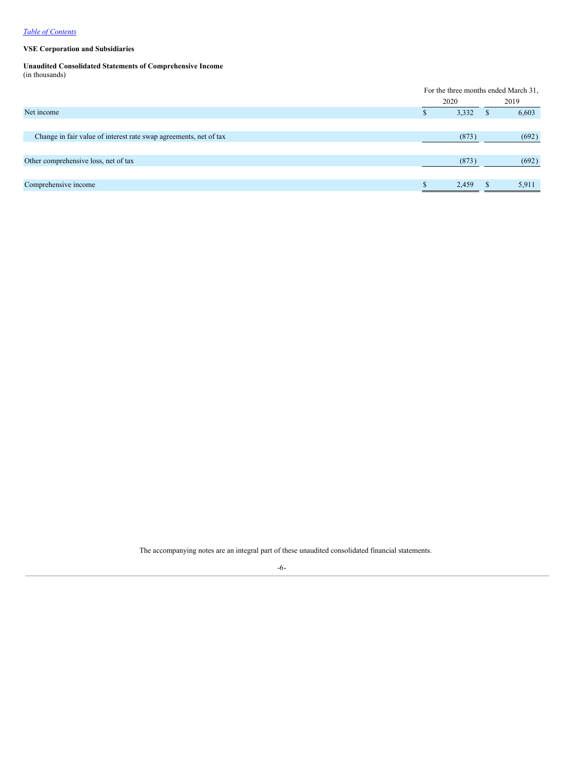# <span id="page-5-0"></span>*Table of [Contents](#page-1-0)*

# **VSE Corporation and Subsidiaries**

#### **Unaudited Consolidated Statements of Comprehensive Income**

(in thousands)

|                                                                   |      |       |    | For the three months ended March 31, |  |  |
|-------------------------------------------------------------------|------|-------|----|--------------------------------------|--|--|
|                                                                   | 2020 |       |    | 2019                                 |  |  |
| Net income                                                        |      | 3,332 |    | 6,603                                |  |  |
|                                                                   |      |       |    |                                      |  |  |
| Change in fair value of interest rate swap agreements, net of tax |      | (873) |    | (692)                                |  |  |
|                                                                   |      |       |    |                                      |  |  |
| Other comprehensive loss, net of tax                              |      | (873) |    | (692)                                |  |  |
|                                                                   |      |       |    |                                      |  |  |
| Comprehensive income                                              |      | 2,459 | S. | 5,911                                |  |  |

The accompanying notes are an integral part of these unaudited consolidated financial statements.

-6-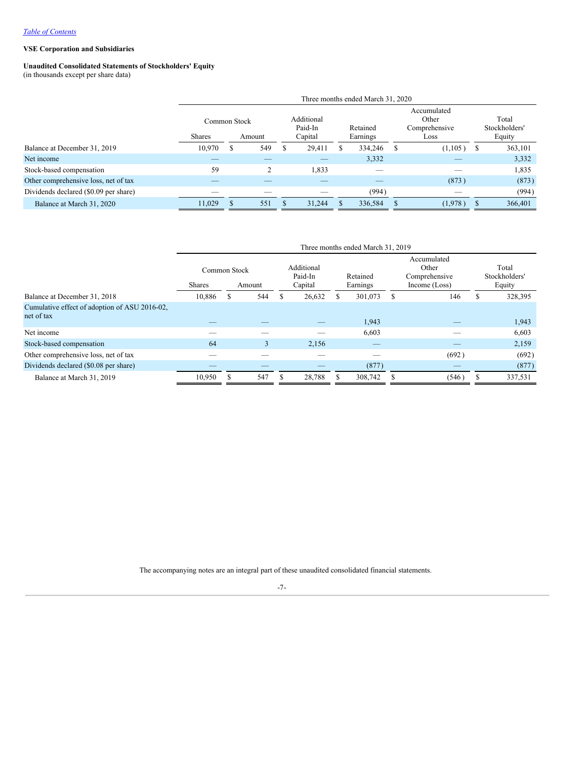# <span id="page-6-0"></span>**VSE Corporation and Subsidiaries**

#### **Unaudited Consolidated Statements of Stockholders' Equity**

(in thousands except per share data)

|                                       | Three months ended March 31, 2020       |   |     |                                  |        |                      |         |                                               |         |                                  |         |  |
|---------------------------------------|-----------------------------------------|---|-----|----------------------------------|--------|----------------------|---------|-----------------------------------------------|---------|----------------------------------|---------|--|
|                                       | Common Stock<br><b>Shares</b><br>Amount |   |     | Additional<br>Paid-In<br>Capital |        | Retained<br>Earnings |         | Accumulated<br>Other<br>Comprehensive<br>Loss |         | Total<br>Stockholders'<br>Equity |         |  |
| Balance at December 31, 2019          | 10.970                                  | S | 549 | JЭ.                              | 29,411 |                      | 334,246 | S                                             | (1,105) |                                  | 363,101 |  |
| Net income                            |                                         |   |     |                                  |        |                      | 3,332   |                                               |         |                                  | 3,332   |  |
| Stock-based compensation              | 59                                      |   | 2   |                                  | 1,833  |                      |         |                                               |         |                                  | 1,835   |  |
| Other comprehensive loss, net of tax  |                                         |   |     |                                  |        |                      |         |                                               | (873)   |                                  | (873)   |  |
| Dividends declared (\$0.09 per share) |                                         |   |     |                                  |        |                      | (994)   |                                               |         |                                  | (994)   |  |
| Balance at March 31, 2020             | 11.029                                  |   | 551 |                                  | 31,244 |                      | 336,584 |                                               | (1,978) |                                  | 366,401 |  |

|                                                             | Three months ended March 31, 2019       |          |   |                                  |  |                      |                                                        |       |    |                                  |  |  |
|-------------------------------------------------------------|-----------------------------------------|----------|---|----------------------------------|--|----------------------|--------------------------------------------------------|-------|----|----------------------------------|--|--|
|                                                             | Common Stock<br><b>Shares</b><br>Amount |          |   | Additional<br>Paid-In<br>Capital |  | Retained<br>Earnings | Accumulated<br>Other<br>Comprehensive<br>Income (Loss) |       |    | Total<br>Stockholders'<br>Equity |  |  |
| Balance at December 31, 2018                                | 10.886                                  | 544<br>S | S | 26,632                           |  | 301,073              | S                                                      | 146   | ъ  | 328,395                          |  |  |
| Cumulative effect of adoption of ASU 2016-02,<br>net of tax |                                         |          |   |                                  |  | 1,943                |                                                        |       |    | 1,943                            |  |  |
| Net income                                                  |                                         |          |   |                                  |  | 6,603                |                                                        |       |    | 6,603                            |  |  |
| Stock-based compensation                                    | 64                                      |          | 3 | 2,156                            |  |                      |                                                        |       |    | 2,159                            |  |  |
| Other comprehensive loss, net of tax                        |                                         |          |   |                                  |  |                      |                                                        | (692) |    | (692)                            |  |  |
| Dividends declared (\$0.08 per share)                       |                                         |          |   |                                  |  | (877)                |                                                        |       |    | (877)                            |  |  |
| Balance at March 31, 2019                                   | 10,950                                  | 547<br>S |   | 28.788                           |  | 308,742              |                                                        | (546) | J. | 337,531                          |  |  |

The accompanying notes are an integral part of these unaudited consolidated financial statements.

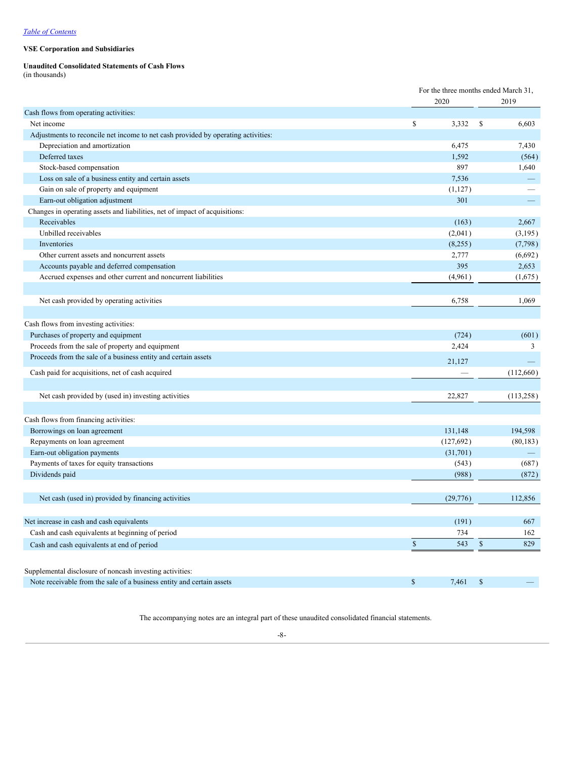# <span id="page-7-0"></span>*Table of [Contents](#page-1-0)*

# **VSE Corporation and Subsidiaries**

### **Unaudited Consolidated Statements of Cash Flows**

(in thousands)

|                                                                                   | For the three months ended March 31, |              |            |
|-----------------------------------------------------------------------------------|--------------------------------------|--------------|------------|
|                                                                                   | 2020                                 |              | 2019       |
| Cash flows from operating activities:                                             |                                      |              |            |
| Net income                                                                        | \$<br>3,332                          | \$           | 6,603      |
| Adjustments to reconcile net income to net cash provided by operating activities: |                                      |              |            |
| Depreciation and amortization                                                     | 6,475                                |              | 7,430      |
| Deferred taxes                                                                    | 1,592                                |              | (564)      |
| Stock-based compensation                                                          | 897                                  |              | 1,640      |
| Loss on sale of a business entity and certain assets                              | 7,536                                |              |            |
| Gain on sale of property and equipment                                            | (1,127)                              |              |            |
| Earn-out obligation adjustment                                                    | 301                                  |              |            |
| Changes in operating assets and liabilities, net of impact of acquisitions:       |                                      |              |            |
| Receivables                                                                       | (163)                                |              | 2,667      |
| Unbilled receivables                                                              | (2,041)                              |              | (3,195)    |
| Inventories                                                                       | (8,255)                              |              | (7,798)    |
| Other current assets and noncurrent assets                                        | 2,777                                |              | (6,692)    |
| Accounts payable and deferred compensation                                        | 395                                  |              | 2,653      |
| Accrued expenses and other current and noncurrent liabilities                     | (4,961)                              |              | (1,675)    |
|                                                                                   |                                      |              |            |
| Net cash provided by operating activities                                         | 6,758                                |              | 1,069      |
|                                                                                   |                                      |              |            |
| Cash flows from investing activities:                                             |                                      |              |            |
| Purchases of property and equipment                                               | (724)                                |              | (601)      |
| Proceeds from the sale of property and equipment                                  | 2,424                                |              | 3          |
| Proceeds from the sale of a business entity and certain assets                    |                                      |              |            |
|                                                                                   | 21,127                               |              |            |
| Cash paid for acquisitions, net of cash acquired                                  |                                      |              | (112,660)  |
|                                                                                   |                                      |              |            |
| Net cash provided by (used in) investing activities                               | 22,827                               |              | (113, 258) |
|                                                                                   |                                      |              |            |
| Cash flows from financing activities:                                             |                                      |              |            |
| Borrowings on loan agreement                                                      | 131,148                              |              | 194,598    |
| Repayments on loan agreement                                                      | (127, 692)                           |              | (80, 183)  |
| Earn-out obligation payments                                                      | (31,701)                             |              |            |
| Payments of taxes for equity transactions                                         | (543)                                |              | (687)      |
| Dividends paid                                                                    | (988)                                |              | (872)      |
|                                                                                   |                                      |              |            |
| Net cash (used in) provided by financing activities                               | (29,776)                             |              | 112,856    |
|                                                                                   |                                      |              |            |
| Net increase in cash and cash equivalents                                         | (191)                                |              | 667        |
| Cash and cash equivalents at beginning of period                                  | 734                                  |              | 162        |
|                                                                                   | $\mathbb{S}$<br>543                  | $\mathbb{S}$ | 829        |
| Cash and cash equivalents at end of period                                        |                                      |              |            |
|                                                                                   |                                      |              |            |
| Supplemental disclosure of noncash investing activities:                          |                                      |              |            |
| Note receivable from the sale of a business entity and certain assets             | $\mathcal{S}$<br>7,461               | $\$$         |            |

The accompanying notes are an integral part of these unaudited consolidated financial statements.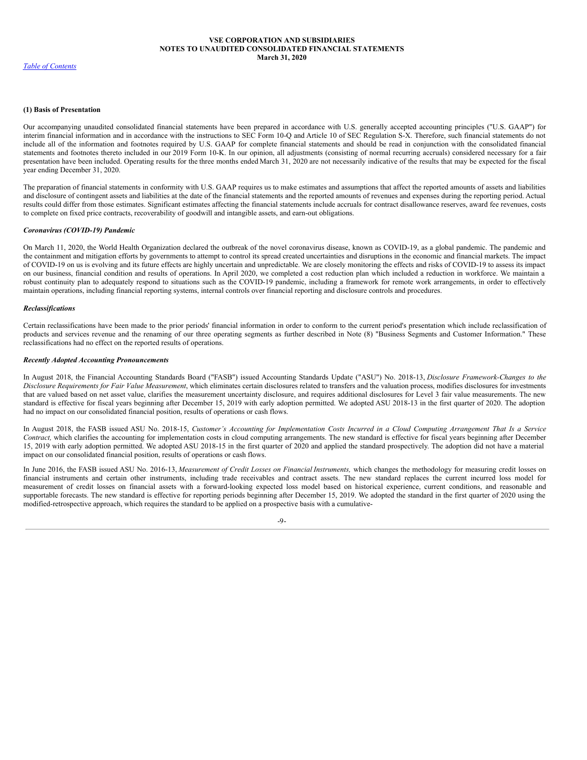<span id="page-8-0"></span>*Table of [Contents](#page-1-0)*

# **(1) Basis of Presentation**

Our accompanying unaudited consolidated financial statements have been prepared in accordance with U.S. generally accepted accounting principles ("U.S. GAAP") for interim financial information and in accordance with the instructions to SEC Form 10-Q and Article 10 of SEC Regulation S-X. Therefore, such financial statements do not include all of the information and footnotes required by U.S. GAAP for complete financial statements and should be read in conjunction with the consolidated financial statements and footnotes thereto included in our 2019 Form 10-K. In our opinion, all adjustments (consisting of normal recurring accruals) considered necessary for a fair presentation have been included. Operating results for the three months ended March 31, 2020 are not necessarily indicative of the results that may be expected for the fiscal year ending December 31, 2020.

The preparation of financial statements in conformity with U.S. GAAP requires us to make estimates and assumptions that affect the reported amounts of assets and liabilities and disclosure of contingent assets and liabilities at the date of the financial statements and the reported amounts of revenues and expenses during the reporting period. Actual results could differ from those estimates. Significant estimates affecting the financial statements include accruals for contract disallowance reserves, award fee revenues, costs to complete on fixed price contracts, recoverability of goodwill and intangible assets, and earn-out obligations.

## *Coronavirus (COVID-19) Pandemic*

On March 11, 2020, the World Health Organization declared the outbreak of the novel coronavirus disease, known as COVID-19, as a global pandemic. The pandemic and the containment and mitigation efforts by governments to attempt to control its spread created uncertainties and disruptions in the economic and financial markets. The impact of COVID-19 on us is evolving and its future effects are highly uncertain and unpredictable. We are closely monitoring the effects and risks of COVID-19 to assess its impact on our business, financial condition and results of operations. In April 2020, we completed a cost reduction plan which included a reduction in workforce. We maintain a robust continuity plan to adequately respond to situations such as the COVID-19 pandemic, including a framework for remote work arrangements, in order to effectively maintain operations, including financial reporting systems, internal controls over financial reporting and disclosure controls and procedures.

#### *Reclassifications*

Certain reclassifications have been made to the prior periods' financial information in order to conform to the current period's presentation which include reclassification of products and services revenue and the renaming of our three operating segments as further described in Note (8) "Business Segments and Customer Information." These reclassifications had no effect on the reported results of operations.

# *Recently Adopted Accounting Pronouncements*

In August 2018, the Financial Accounting Standards Board ("FASB") issued Accounting Standards Update ("ASU") No. 2018-13, *Disclosure Framework-Changes to the Disclosure Requirements for Fair Value Measurement*, which eliminates certain disclosures related to transfers and the valuation process, modifies disclosures for investments that are valued based on net asset value, clarifies the measurement uncertainty disclosure, and requires additional disclosures for Level 3 fair value measurements. The new standard is effective for fiscal years beginning after December 15, 2019 with early adoption permitted. We adopted ASU 2018-13 in the first quarter of 2020. The adoption had no impact on our consolidated financial position, results of operations or cash flows.

In August 2018, the FASB issued ASU No. 2018-15, Customer's Accounting for Implementation Costs Incurred in a Cloud Computing Arrangement That Is a Service *Contract,* which clarifies the accounting for implementation costs in cloud computing arrangements. The new standard is effective for fiscal years beginning after December 15, 2019 with early adoption permitted. We adopted ASU 2018-15 in the first quarter of 2020 and applied the standard prospectively. The adoption did not have a material impact on our consolidated financial position, results of operations or cash flows.

In June 2016, the FASB issued ASU No. 2016-13, *Measurement of Credit Losses on Financial Instruments,* which changes the methodology for measuring credit losses on financial instruments and certain other instruments, including trade receivables and contract assets. The new standard replaces the current incurred loss model for measurement of credit losses on financial assets with a forward-looking expected loss model based on historical experience, current conditions, and reasonable and supportable forecasts. The new standard is effective for reporting periods beginning after December 15, 2019. We adopted the standard in the first quarter of 2020 using the modified-retrospective approach, which requires the standard to be applied on a prospective basis with a cumulative-

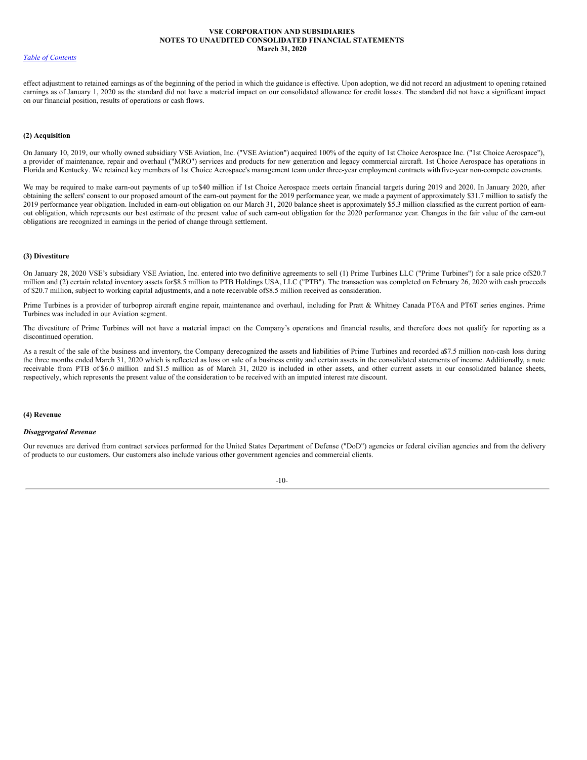## *Table of [Contents](#page-1-0)*

effect adjustment to retained earnings as of the beginning of the period in which the guidance is effective. Upon adoption, we did not record an adjustment to opening retained earnings as of January 1, 2020 as the standard did not have a material impact on our consolidated allowance for credit losses. The standard did not have a significant impact on our financial position, results of operations or cash flows.

### **(2) Acquisition**

On January 10, 2019, our wholly owned subsidiary VSE Aviation, Inc. ("VSE Aviation") acquired 100% of the equity of 1st Choice Aerospace Inc. ("1st Choice Aerospace"), a provider of maintenance, repair and overhaul ("MRO") services and products for new generation and legacy commercial aircraft. 1st Choice Aerospace has operations in Florida and Kentucky. We retained key members of 1st Choice Aerospace's management team under three-year employment contracts with five-year non-compete covenants.

We may be required to make earn-out payments of up to \$40 million if 1st Choice Aerospace meets certain financial targets during 2019 and 2020. In January 2020, after obtaining the sellers' consent to our proposed amount of the earn-out payment for the 2019 performance year, we made a payment of approximately \$31.7 million to satisfy the 2019 performance year obligation. Included in earn-out obligation on our March 31, 2020 balance sheet is approximately \$5.3 million classified as the current portion of earnout obligation, which represents our best estimate of the present value of such earn-out obligation for the 2020 performance year. Changes in the fair value of the earn-out obligations are recognized in earnings in the period of change through settlement.

## **(3) Divestiture**

On January 28, 2020 VSE's subsidiary VSE Aviation, Inc. entered into two definitive agreements to sell (1) Prime Turbines LLC ("Prime Turbines") for a sale price of\$20.7 million and (2) certain related inventory assets for\$8.5 million to PTB Holdings USA, LLC ("PTB"). The transaction was completed on February 26, 2020 with cash proceeds of \$20.7 million, subject to working capital adjustments, and a note receivable of\$8.5 million received as consideration.

Prime Turbines is a provider of turboprop aircraft engine repair, maintenance and overhaul, including for Pratt & Whitney Canada PT6A and PT6T series engines. Prime Turbines was included in our Aviation segment.

The divestiture of Prime Turbines will not have a material impact on the Company's operations and financial results, and therefore does not qualify for reporting as a discontinued operation.

As a result of the sale of the business and inventory, the Company derecognized the assets and liabilities of Prime Turbines and recorded a\$7.5 million non-cash loss during the three months ended March 31, 2020 which is reflected as loss on sale of a business entity and certain assets in the consolidated statements of income. Additionally, a note receivable from PTB of \$6.0 million and \$1.5 million as of March 31, 2020 is included in other assets, and other current assets in our consolidated balance sheets, respectively, which represents the present value of the consideration to be received with an imputed interest rate discount.

#### **(4) Revenue**

#### *Disaggregated Revenue*

Our revenues are derived from contract services performed for the United States Department of Defense ("DoD") agencies or federal civilian agencies and from the delivery of products to our customers. Our customers also include various other government agencies and commercial clients.

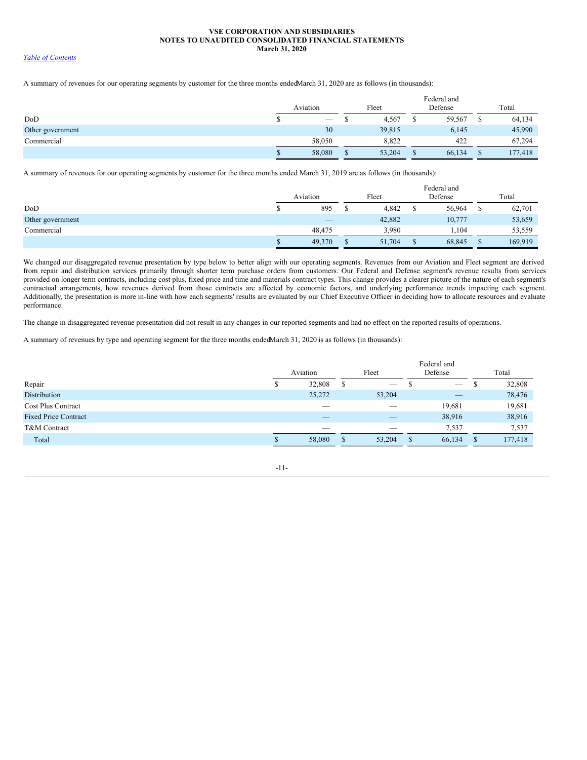# *Table of [Contents](#page-1-0)*

A summary of revenues for our operating segments by customer for the three months endedMarch 31, 2020 are as follows (in thousands):

|                  |          |                                 |       | Federal and |  |        |  |         |
|------------------|----------|---------------------------------|-------|-------------|--|--------|--|---------|
|                  | Aviation |                                 | Fleet | Defense     |  | Total  |  |         |
| DoD              |          | $\hspace{0.1mm}-\hspace{0.1mm}$ |       | 4,567       |  | 59,567 |  | 64,134  |
| Other government |          | 30                              |       | 39,815      |  | 6,145  |  | 45,990  |
| Commercial       |          | 58,050                          |       | 8,822       |  | 422    |  | 67,294  |
|                  |          | 58,080                          |       | 53,204      |  | 66,134 |  | 177,418 |

A summary of revenues for our operating segments by customer for the three months ended March 31, 2019 are as follows (in thousands):

|                  |                   |        | Federal and |        |         |        |   |         |  |
|------------------|-------------------|--------|-------------|--------|---------|--------|---|---------|--|
|                  | Fleet<br>Aviation |        |             |        | Defense |        |   | Total   |  |
| DoD              |                   | 895    |             | 4,842  |         | 56.964 | S | 62,701  |  |
| Other government |                   |        |             | 42,882 |         | 10,777 |   | 53,659  |  |
| Commercial       |                   | 48,475 |             | 3.980  |         | 1,104  |   | 53,559  |  |
|                  |                   | 49,370 |             | 51,704 |         | 68,845 | ¢ | 169,919 |  |

We changed our disaggregated revenue presentation by type below to better align with our operating segments. Revenues from our Aviation and Fleet segment are derived from repair and distribution services primarily through shorter term purchase orders from customers. Our Federal and Defense segment's revenue results from services provided on longer term contracts, including cost plus, fixed price and time and materials contract types. This change provides a clearer picture of the nature of each segment's contractual arrangements, how revenues derived from those contracts are affected by economic factors, and underlying performance trends impacting each segment. Additionally, the presentation is more in-line with how each segments' results are evaluated by our Chief Executive Officer in deciding how to allocate resources and evaluate performance.

The change in disaggregated revenue presentation did not result in any changes in our reported segments and had no effect on the reported results of operations.

A summary of revenues by type and operating segment for the three months endedMarch 31, 2020 is as follows (in thousands):

|                             | Federal and              |  |                                 |  |                                 |   |         |
|-----------------------------|--------------------------|--|---------------------------------|--|---------------------------------|---|---------|
|                             | Aviation                 |  | Fleet                           |  | Defense                         |   | Total   |
| Repair                      | 32,808                   |  | $\hspace{0.1mm}-\hspace{0.1mm}$ |  | $\hspace{0.1mm}-\hspace{0.1mm}$ | Æ | 32,808  |
| Distribution                | 25,272                   |  | 53,204                          |  | $\overline{\phantom{a}}$        |   | 78,476  |
| <b>Cost Plus Contract</b>   | $\overline{\phantom{a}}$ |  | $\overline{\phantom{a}}$        |  | 19,681                          |   | 19,681  |
| <b>Fixed Price Contract</b> | _                        |  | $\overline{\phantom{a}}$        |  | 38,916                          |   | 38,916  |
| T&M Contract                | __                       |  | $\overline{\phantom{a}}$        |  | 7,537                           |   | 7,537   |
| Total                       | 58,080                   |  | 53,204                          |  | 66,134                          |   | 177,418 |
|                             |                          |  |                                 |  |                                 |   |         |

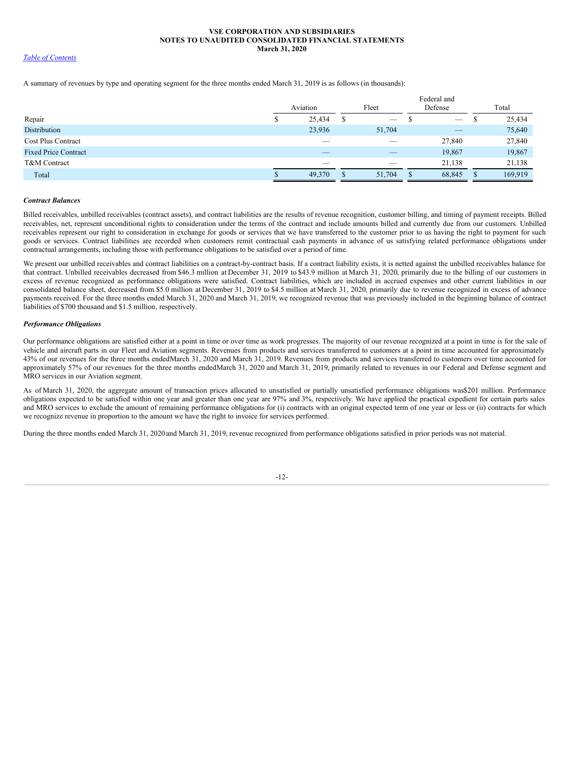# *Table of [Contents](#page-1-0)*

A summary of revenues by type and operating segment for the three months ended March 31, 2019 is as follows (in thousands):

|                             |                          | Federal and |                                 |    |                          |    |         |  |
|-----------------------------|--------------------------|-------------|---------------------------------|----|--------------------------|----|---------|--|
|                             | Aviation                 |             | Fleet<br>Defense                |    |                          |    | Total   |  |
| Repair                      | 25,434                   |             | $\hspace{0.1mm}-\hspace{0.1mm}$ | Æ  |                          | ۰D | 25,434  |  |
| <b>Distribution</b>         | 23,936                   |             | 51,704                          |    | $\overline{\phantom{a}}$ |    | 75,640  |  |
| <b>Cost Plus Contract</b>   | $\overline{\phantom{a}}$ |             | $\overline{\phantom{a}}$        |    | 27,840                   |    | 27,840  |  |
| <b>Fixed Price Contract</b> | $\overline{\phantom{a}}$ |             | $-$                             |    | 19,867                   |    | 19,867  |  |
| T&M Contract                | $\overline{\phantom{a}}$ |             | $\overline{\phantom{a}}$        |    | 21,138                   |    | 21,138  |  |
| Total                       | 49,370                   |             | 51,704                          | -S | 68,845                   |    | 169,919 |  |

## *Contract Balances*

Billed receivables, unbilled receivables (contract assets), and contract liabilities are the results of revenue recognition, customer billing, and timing of payment receipts. Billed receivables, net, represent unconditional rights to consideration under the terms of the contract and include amounts billed and currently due from our customers. Unbilled receivables represent our right to consideration in exchange for goods or services that we have transferred to the customer prior to us having the right to payment for such goods or services. Contract liabilities are recorded when customers remit contractual cash payments in advance of us satisfying related performance obligations under contractual arrangements, including those with performance obligations to be satisfied over a period of time.

We present our unbilled receivables and contract liabilities on a contract-by-contract basis. If a contract liability exists, it is netted against the unbilled receivables balance for that contract. Unbilled receivables decreased from \$46.3 million at December 31, 2019 to \$43.9 million at March 31, 2020, primarily due to the billing of our customers in excess of revenue recognized as performance obligations were satisfied. Contract liabilities, which are included in accrued expenses and other current liabilities in our consolidated balance sheet, decreased from \$5.0 million at December 31, 2019 to \$4.5 million at March 31, 2020, primarily due to revenue recognized in excess of advance payments received. For the three months ended March 31, 2020 and March 31, 2019, we recognized revenue that was previously included in the beginning balance of contract liabilities of \$700 thousand and \$1.5 million, respectively.

#### *Performance Obligations*

Our performance obligations are satisfied either at a point in time or over time as work progresses. The majority of our revenue recognized at a point in time is for the sale of vehicle and aircraft parts in our Fleet and Aviation segments. Revenues from products and services transferred to customers at a point in time accounted for approximately 43% of our revenues for the three months endedMarch 31, 2020 and March 31, 2019. Revenues from products and services transferred to customers over time accounted for approximately 57% of our revenues for the three months endedMarch 31, 2020 and March 31, 2019, primarily related to revenues in our Federal and Defense segment and MRO services in our Aviation segment.

As of March 31, 2020, the aggregate amount of transaction prices allocated to unsatisfied or partially unsatisfied performance obligations was\$201 million. Performance obligations expected to be satisfied within one year and greater than one year are 97% and 3%, respectively. We have applied the practical expedient for certain parts sales and MRO services to exclude the amount of remaining performance obligations for (i) contracts with an original expected term of one year or less or (ii) contracts for which we recognize revenue in proportion to the amount we have the right to invoice for services performed.

During the three months ended March 31, 2020 and March 31, 2019, revenue recognized from performance obligations satisfied in prior periods was not material.

## -12-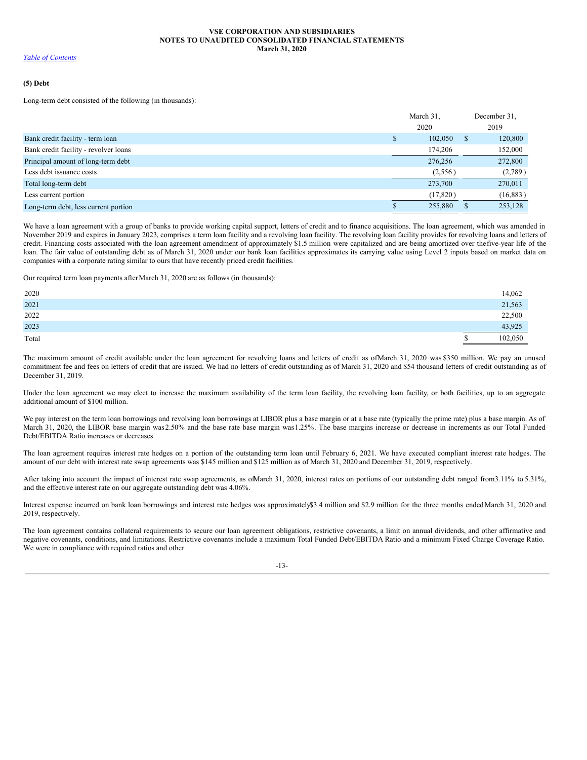### *Table of [Contents](#page-1-0)*

# **(5) Debt**

Long-term debt consisted of the following (in thousands):

|                                       | March 31, |   | December 31, |
|---------------------------------------|-----------|---|--------------|
|                                       | 2020      |   | 2019         |
| Bank credit facility - term loan      | 102,050   | S | 120,800      |
| Bank credit facility - revolver loans | 174.206   |   | 152,000      |
| Principal amount of long-term debt    | 276,256   |   | 272,800      |
| Less debt issuance costs              | (2,556)   |   | (2,789)      |
| Total long-term debt                  | 273,700   |   | 270,011      |
| Less current portion                  | (17,820)  |   | (16, 883)    |
| Long-term debt, less current portion  | 255,880   |   | 253,128      |

We have a loan agreement with a group of banks to provide working capital support, letters of credit and to finance acquisitions. The loan agreement, which was amended in November 2019 and expires in January 2023, comprises a term loan facility and a revolving loan facility. The revolving loan facility provides for revolving loans and letters of credit. Financing costs associated with the loan agreement amendment of approximately \$1.5 million were capitalized and are being amortized over the five-year life of the loan. The fair value of outstanding debt as of March 31, 2020 under our bank loan facilities approximates its carrying value using Level 2 inputs based on market data on companies with a corporate rating similar to ours that have recently priced credit facilities.

Our required term loan payments afterMarch 31, 2020 are as follows (in thousands):

| 2020  | 14,062  |
|-------|---------|
| 2021  | 21,563  |
| 2022  | 22,500  |
| 2023  | 43,925  |
| Total | 102,050 |

The maximum amount of credit available under the loan agreement for revolving loans and letters of credit as ofMarch 31, 2020 was \$350 million. We pay an unused commitment fee and fees on letters of credit that are issued. We had no letters of credit outstanding as of March 31, 2020 and \$54 thousand letters of credit outstanding as of December 31, 2019.

Under the loan agreement we may elect to increase the maximum availability of the term loan facility, the revolving loan facility, or both facilities, up to an aggregate additional amount of \$100 million.

We pay interest on the term loan borrowings and revolving loan borrowings at LIBOR plus a base margin or at a base rate (typically the prime rate) plus a base margin. As of March 31, 2020, the LIBOR base margin was 2.50% and the base rate base margin was1.25%. The base margins increase or decrease in increments as our Total Funded Debt/EBITDA Ratio increases or decreases.

The loan agreement requires interest rate hedges on a portion of the outstanding term loan until February 6, 2021. We have executed compliant interest rate hedges. The amount of our debt with interest rate swap agreements was \$145 million and \$125 million as of March 31, 2020 and December 31, 2019, respectively.

After taking into account the impact of interest rate swap agreements, as ofMarch 31, 2020, interest rates on portions of our outstanding debt ranged from3.11% to 5.31%, and the effective interest rate on our aggregate outstanding debt was 4.06%.

Interest expense incurred on bank loan borrowings and interest rate hedges was approximately\$3.4 million and \$2.9 million for the three months endedMarch 31, 2020 and 2019, respectively.

The loan agreement contains collateral requirements to secure our loan agreement obligations, restrictive covenants, a limit on annual dividends, and other affirmative and negative covenants, conditions, and limitations. Restrictive covenants include a maximum Total Funded Debt/EBITDA Ratio and a minimum Fixed Charge Coverage Ratio. We were in compliance with required ratios and other

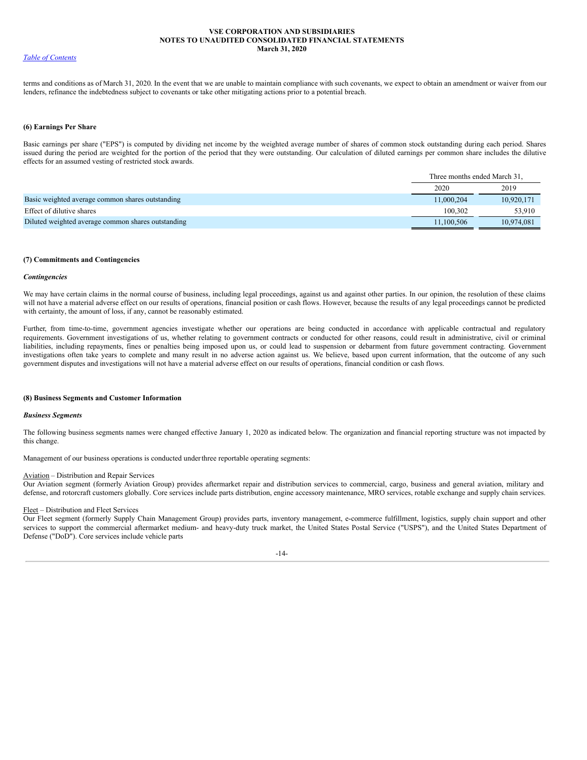# *Table of [Contents](#page-1-0)*

terms and conditions as of March 31, 2020. In the event that we are unable to maintain compliance with such covenants, we expect to obtain an amendment or waiver from our lenders, refinance the indebtedness subject to covenants or take other mitigating actions prior to a potential breach.

# **(6) Earnings Per Share**

Basic earnings per share ("EPS") is computed by dividing net income by the weighted average number of shares of common stock outstanding during each period. Shares issued during the period are weighted for the portion of the period that they were outstanding. Our calculation of diluted earnings per common share includes the dilutive effects for an assumed vesting of restricted stock awards.

|                                                    | Three months ended March 31. |            |
|----------------------------------------------------|------------------------------|------------|
|                                                    | 2020                         | 2019       |
| Basic weighted average common shares outstanding   | 11,000,204                   | 10.920.171 |
| Effect of dilutive shares                          | 100.302                      | 53,910     |
| Diluted weighted average common shares outstanding | 11.100.506                   | 10.974.081 |

#### **(7) Commitments and Contingencies**

#### *Contingencies*

We may have certain claims in the normal course of business, including legal proceedings, against us and against other parties. In our opinion, the resolution of these claims will not have a material adverse effect on our results of operations, financial position or cash flows. However, because the results of any legal proceedings cannot be predicted with certainty, the amount of loss, if any, cannot be reasonably estimated.

Further, from time-to-time, government agencies investigate whether our operations are being conducted in accordance with applicable contractual and regulatory requirements. Government investigations of us, whether relating to government contracts or conducted for other reasons, could result in administrative, civil or criminal liabilities, including repayments, fines or penalties being imposed upon us, or could lead to suspension or debarment from future government contracting. Government investigations often take years to complete and many result in no adverse action against us. We believe, based upon current information, that the outcome of any such government disputes and investigations will not have a material adverse effect on our results of operations, financial condition or cash flows.

## **(8) Business Segments and Customer Information**

#### *Business Segments*

The following business segments names were changed effective January 1, 2020 as indicated below. The organization and financial reporting structure was not impacted by this change.

Management of our business operations is conducted underthree reportable operating segments:

#### Aviation – Distribution and Repair Services

Our Aviation segment (formerly Aviation Group) provides aftermarket repair and distribution services to commercial, cargo, business and general aviation, military and defense, and rotorcraft customers globally. Core services include parts distribution, engine accessory maintenance, MRO services, rotable exchange and supply chain services.

#### Fleet – Distribution and Fleet Services

Our Fleet segment (formerly Supply Chain Management Group) provides parts, inventory management, e-commerce fulfillment, logistics, supply chain support and other services to support the commercial aftermarket medium- and heavy-duty truck market, the United States Postal Service ("USPS"), and the United States Department of Defense ("DoD"). Core services include vehicle parts

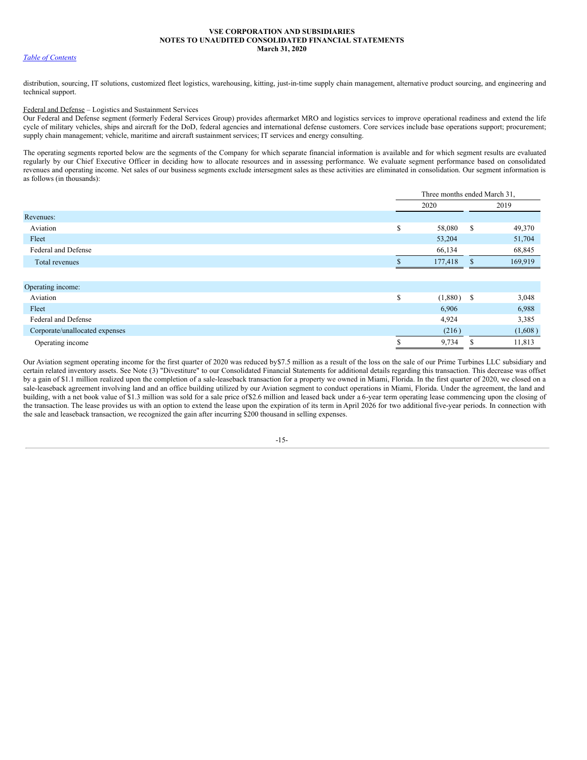# *Table of [Contents](#page-1-0)*

distribution, sourcing, IT solutions, customized fleet logistics, warehousing, kitting, just-in-time supply chain management, alternative product sourcing, and engineering and technical support.

# Federal and Defense – Logistics and Sustainment Services

Our Federal and Defense segment (formerly Federal Services Group) provides aftermarket MRO and logistics services to improve operational readiness and extend the life cycle of military vehicles, ships and aircraft for the DoD, federal agencies and international defense customers. Core services include base operations support; procurement; supply chain management; vehicle, maritime and aircraft sustainment services; IT services and energy consulting.

The operating segments reported below are the segments of the Company for which separate financial information is available and for which segment results are evaluated regularly by our Chief Executive Officer in deciding how to allocate resources and in assessing performance. We evaluate segment performance based on consolidated revenues and operating income. Net sales of our business segments exclude intersegment sales as these activities are eliminated in consolidation. Our segment information is as follows (in thousands):

|                                | Three months ended March 31,<br>2020<br>\$<br>58,080<br>S |    |         |  |  |
|--------------------------------|-----------------------------------------------------------|----|---------|--|--|
|                                |                                                           |    | 2019    |  |  |
| Revenues:                      |                                                           |    |         |  |  |
| Aviation                       |                                                           |    | 49,370  |  |  |
| Fleet                          | 53,204                                                    |    | 51,704  |  |  |
| Federal and Defense            | 66,134                                                    |    | 68,845  |  |  |
| Total revenues                 | 177,418                                                   | -S | 169,919 |  |  |
|                                |                                                           |    |         |  |  |
| Operating income:              |                                                           |    |         |  |  |
| Aviation                       | \$<br>$(1,880)$ \$                                        |    | 3,048   |  |  |
| Fleet                          | 6,906                                                     |    | 6,988   |  |  |
| Federal and Defense            | 4,924                                                     |    | 3,385   |  |  |
| Corporate/unallocated expenses | (216)                                                     |    | (1,608) |  |  |
| Operating income               | \$<br>9,734                                               | S  | 11,813  |  |  |

Our Aviation segment operating income for the first quarter of 2020 was reduced by\$7.5 million as a result of the loss on the sale of our Prime Turbines LLC subsidiary and certain related inventory assets. See Note (3) "Divestiture" to our Consolidated Financial Statements for additional details regarding this transaction. This decrease was offset by a gain of \$1.1 million realized upon the completion of a sale-leaseback transaction for a property we owned in Miami, Florida. In the first quarter of 2020, we closed on a sale-leaseback agreement involving land and an office building utilized by our Aviation segment to conduct operations in Miami, Florida. Under the agreement, the land and building, with a net book value of \$1.3 million was sold for a sale price of \$2.6 million and leased back under a 6-year term operating lease commencing upon the closing of the transaction. The lease provides us with an option to extend the lease upon the expiration of its term in April 2026 for two additional five-year periods. In connection with the sale and leaseback transaction, we recognized the gain after incurring \$200 thousand in selling expenses.

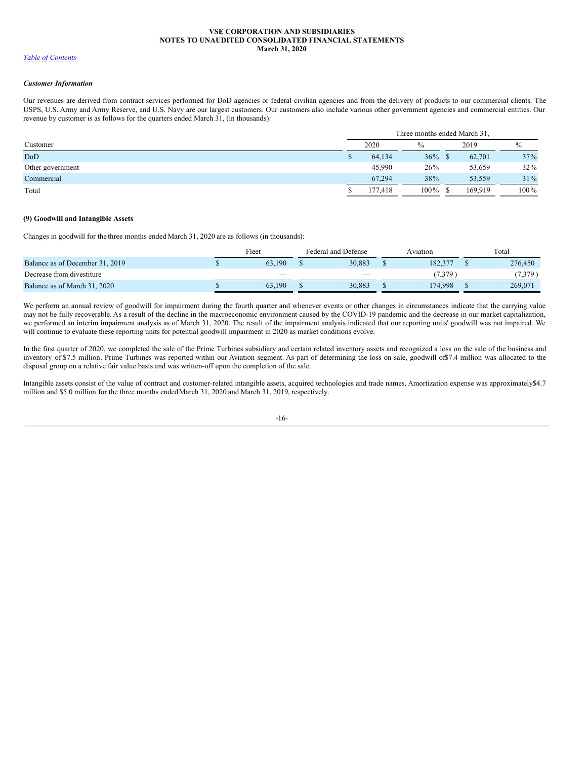### *Table of [Contents](#page-1-0)*

### *Customer Information*

Our revenues are derived from contract services performed for DoD agencies or federal civilian agencies and from the delivery of products to our commercial clients. The USPS, U.S. Army and Army Reserve, and U.S. Navy are our largest customers. Our customers also include various other government agencies and commercial entities. Our revenue by customer is as follows for the quarters ended March 31, (in thousands):

|                  | Three months ended March 31, |         |           |  |         |      |  |  |  |  |  |  |
|------------------|------------------------------|---------|-----------|--|---------|------|--|--|--|--|--|--|
| Customer         | 2020<br>2019<br>$\%$         |         |           |  |         | $\%$ |  |  |  |  |  |  |
| DoD              |                              | 64,134  | $36\%$ \$ |  | 62,701  | 37%  |  |  |  |  |  |  |
| Other government |                              | 45,990  | 26%       |  | 53,659  | 32%  |  |  |  |  |  |  |
| Commercial       |                              | 67.294  | 38%       |  | 53.559  | 31%  |  |  |  |  |  |  |
| Total            |                              | 177,418 | $100\%$   |  | 169.919 | 100% |  |  |  |  |  |  |

# **(9) Goodwill and Intangible Assets**

Changes in goodwill for the three months ended March 31, 2020 are as follows (in thousands):

|                                 | Fleet |        | Federal and Defense |        | Aviation |         |  | Total   |  |  |
|---------------------------------|-------|--------|---------------------|--------|----------|---------|--|---------|--|--|
| Balance as of December 31, 2019 |       | 63.190 |                     | 30.883 |          | 182.377 |  | 276,450 |  |  |
| Decrease from divestiture       |       | ___    |                     |        |          | 7.379   |  | (7,379) |  |  |
| Balance as of March 31, 2020    |       | 63.190 |                     | 30.883 |          | 174.998 |  | 269,071 |  |  |

We perform an annual review of goodwill for impairment during the fourth quarter and whenever events or other changes in circumstances indicate that the carrying value may not be fully recoverable. As a result of the decline in the macroeconomic environment caused by the COVID-19 pandemic and the decrease in our market capitalization, we performed an interim impairment analysis as of March 31, 2020. The result of the impairment analysis indicated that our reporting units' goodwill was not impaired. We will continue to evaluate these reporting units for potential goodwill impairment in 2020 as market conditions evolve.

In the first quarter of 2020, we completed the sale of the Prime Turbines subsidiary and certain related inventory assets and recognized a loss on the sale of the business and inventory of \$7.5 million. Prime Turbines was reported within our Aviation segment. As part of determining the loss on sale, goodwill of\$7.4 million was allocated to the disposal group on a relative fair value basis and was written-off upon the completion of the sale.

Intangible assets consist of the value of contract and customer-related intangible assets, acquired technologies and trade names. Amortization expense was approximately\$4.7 million and \$5.0 million for the three months endedMarch 31, 2020 and March 31, 2019, respectively.

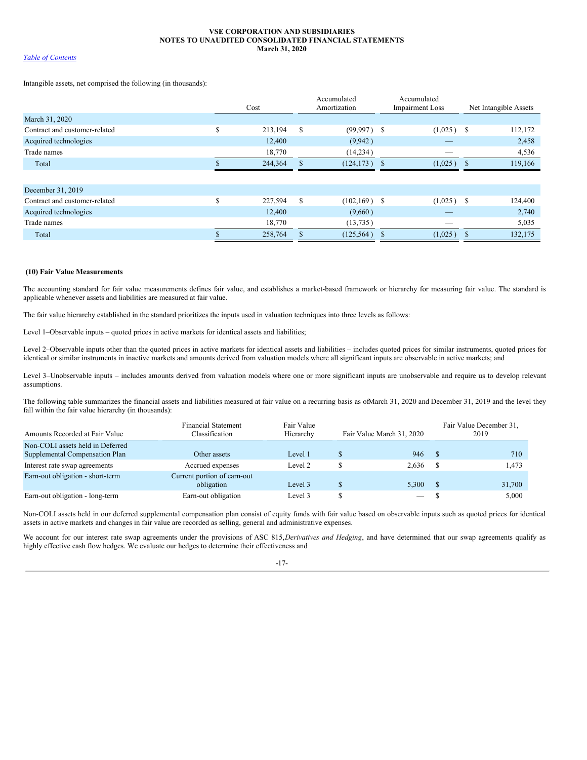# *Table of [Contents](#page-1-0)*

Intangible assets, net comprised the following (in thousands):

|                               |                | Accumulated |              | Accumulated     |                        |      |                       |
|-------------------------------|----------------|-------------|--------------|-----------------|------------------------|------|-----------------------|
|                               |                | Cost        | Amortization |                 | <b>Impairment Loss</b> |      | Net Intangible Assets |
| March 31, 2020                |                |             |              |                 |                        |      |                       |
| Contract and customer-related | $\sigma$<br>J. | 213,194     | \$           | $(99,997)$ \$   | $(1,025)$ \$           |      | 112,172               |
| Acquired technologies         |                | 12,400      |              | (9,942)         |                        |      | 2,458                 |
| Trade names                   |                | 18,770      |              | (14, 234)       |                        |      | 4,536                 |
| Total                         |                | 244,364     | \$.          | $(124, 173)$ \$ | (1,025)                | - \$ | 119,166               |
|                               |                |             |              |                 |                        |      |                       |
| December 31, 2019             |                |             |              |                 |                        |      |                       |
| Contract and customer-related |                | 227,594     | \$           | $(102, 169)$ \$ | $(1,025)$ \$           |      | 124,400               |
| Acquired technologies         |                | 12,400      |              | (9,660)         |                        |      | 2,740                 |
| Trade names                   |                | 18,770      |              | (13, 735)       | _                      |      | 5,035                 |
| Total                         |                | 258,764     |              | $(125, 564)$ \$ | (1,025)                | S    | 132,175               |

#### **(10) Fair Value Measurements**

The accounting standard for fair value measurements defines fair value, and establishes a market-based framework or hierarchy for measuring fair value. The standard is applicable whenever assets and liabilities are measured at fair value.

The fair value hierarchy established in the standard prioritizes the inputs used in valuation techniques into three levels as follows:

Level 1–Observable inputs – quoted prices in active markets for identical assets and liabilities;

Level 2–Observable inputs other than the quoted prices in active markets for identical assets and liabilities – includes quoted prices for similar instruments, quoted prices for identical or similar instruments in inactive markets and amounts derived from valuation models where all significant inputs are observable in active markets; and

Level 3–Unobservable inputs – includes amounts derived from valuation models where one or more significant inputs are unobservable and require us to develop relevant assumptions.

The following table summarizes the financial assets and liabilities measured at fair value on a recurring basis as ofMarch 31, 2020 and December 31, 2019 and the level they fall within the fair value hierarchy (in thousands):

| Amounts Recorded at Fair Value                                     | <b>Financial Statement</b><br>Classification | Fair Value<br>Hierarchy | Fair Value March 31, 2020       | Fair Value December 31,<br>2019 |
|--------------------------------------------------------------------|----------------------------------------------|-------------------------|---------------------------------|---------------------------------|
| Non-COLI assets held in Deferred<br>Supplemental Compensation Plan | Other assets                                 | Level 1                 | 946                             | 710                             |
| Interest rate swap agreements                                      | Accrued expenses                             | Level 2                 | 2.636                           | 1.473                           |
| Earn-out obligation - short-term                                   | Current portion of earn-out<br>obligation    | Level 3                 | 5.300                           | 31,700                          |
| Earn-out obligation - long-term                                    | Earn-out obligation                          | Level 3                 | $\hspace{0.1mm}-\hspace{0.1mm}$ | 5.000                           |

Non-COLI assets held in our deferred supplemental compensation plan consist of equity funds with fair value based on observable inputs such as quoted prices for identical assets in active markets and changes in fair value are recorded as selling, general and administrative expenses.

We account for our interest rate swap agreements under the provisions of ASC 815, Derivatives and Hedging, and have determined that our swap agreements qualify as highly effective cash flow hedges. We evaluate our hedges to determine their effectiveness and

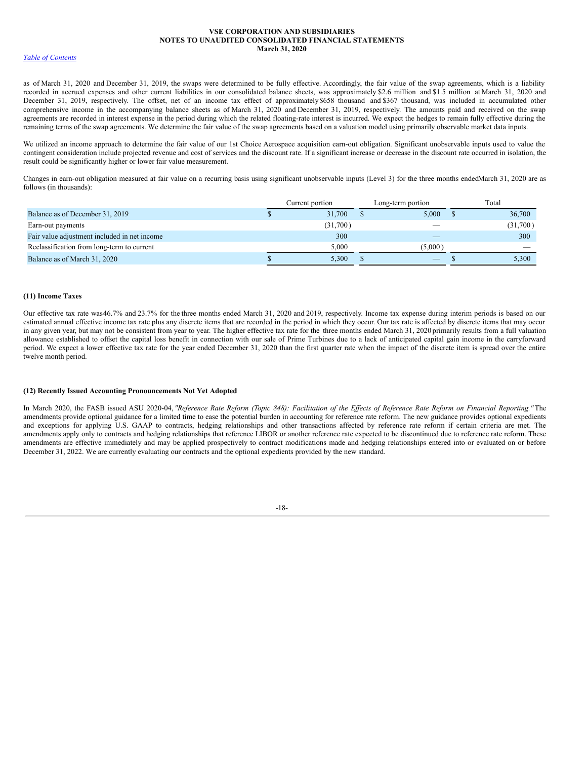## *Table of [Contents](#page-1-0)*

as of March 31, 2020 and December 31, 2019, the swaps were determined to be fully effective. Accordingly, the fair value of the swap agreements, which is a liability recorded in accrued expenses and other current liabilities in our consolidated balance sheets, was approximately \$2.6 million and \$1.5 million at March 31, 2020 and December 31, 2019, respectively. The offset, net of an income tax effect of approximately\$658 thousand and \$367 thousand, was included in accumulated other comprehensive income in the accompanying balance sheets as of March 31, 2020 and December 31, 2019, respectively. The amounts paid and received on the swap agreements are recorded in interest expense in the period during which the related floating-rate interest is incurred. We expect the hedges to remain fully effective during the remaining terms of the swap agreements. We determine the fair value of the swap agreements based on a valuation model using primarily observable market data inputs.

We utilized an income approach to determine the fair value of our 1st Choice Aerospace acquisition earn-out obligation. Significant unobservable inputs used to value the contingent consideration include projected revenue and cost of services and the discount rate. If a significant increase or decrease in the discount rate occurred in isolation, the result could be significantly higher or lower fair value measurement.

Changes in earn-out obligation measured at fair value on a recurring basis using significant unobservable inputs (Level 3) for the three months endedMarch 31, 2020 are as follows (in thousands):

|                                              | Current portion |  | Long-term portion        |  | Total    |  |  |
|----------------------------------------------|-----------------|--|--------------------------|--|----------|--|--|
| Balance as of December 31, 2019              | 31,700          |  | 5,000                    |  | 36,700   |  |  |
| Earn-out payments                            | (31,700)        |  | $\overline{\phantom{a}}$ |  | (31,700) |  |  |
| Fair value adjustment included in net income | 300             |  |                          |  | 300      |  |  |
| Reclassification from long-term to current   | 5.000           |  | (5.000)                  |  |          |  |  |
| Balance as of March 31, 2020                 | 5,300           |  | $-$                      |  | 5.300    |  |  |

## **(11) Income Taxes**

Our effective tax rate was46.7% and 23.7% for the three months ended March 31, 2020 and 2019, respectively. Income tax expense during interim periods is based on our estimated annual effective income tax rate plus any discrete items that are recorded in the period in which they occur. Our tax rate is affected by discrete items that may occur in any given year, but may not be consistent from year to year. The higher effective tax rate for the three months ended March 31, 2020 primarily results from a full valuation allowance established to offset the capital loss benefit in connection with our sale of Prime Turbines due to a lack of anticipated capital gain income in the carryforward period. We expect a lower effective tax rate for the year ended December 31, 2020 than the first quarter rate when the impact of the discrete item is spread over the entire twelve month period.

## **(12) Recently Issued Accounting Pronouncements Not Yet Adopted**

In March 2020, the FASB issued ASU 2020-04, "Reference Rate Reform (Topic 848): Facilitation of the Effects of Reference Rate Reform on Financial Reporting." The amendments provide optional guidance for a limited time to ease the potential burden in accounting for reference rate reform. The new guidance provides optional expedients and exceptions for applying U.S. GAAP to contracts, hedging relationships and other transactions affected by reference rate reform if certain criteria are met. The amendments apply only to contracts and hedging relationships that reference LIBOR or another reference rate expected to be discontinued due to reference rate reform. These amendments are effective immediately and may be applied prospectively to contract modifications made and hedging relationships entered into or evaluated on or before December 31, 2022. We are currently evaluating our contracts and the optional expedients provided by the new standard.

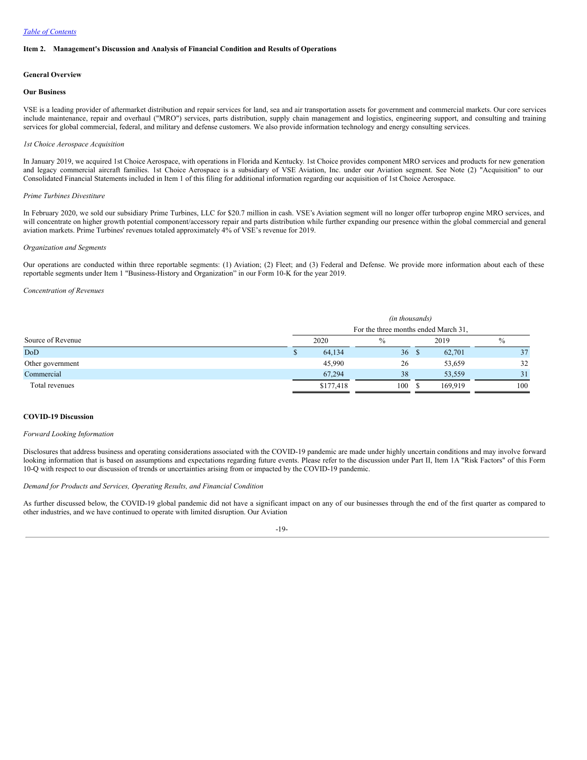#### <span id="page-18-0"></span>**Item 2. Management's Discussion and Analysis of Financial Condition and Results of Operations**

#### **General Overview**

#### **Our Business**

VSE is a leading provider of aftermarket distribution and repair services for land, sea and air transportation assets for government and commercial markets. Our core services include maintenance, repair and overhaul ("MRO") services, parts distribution, supply chain management and logistics, engineering support, and consulting and training services for global commercial, federal, and military and defense customers. We also provide information technology and energy consulting services.

#### *1st Choice Aerospace Acquisition*

In January 2019, we acquired 1st Choice Aerospace, with operations in Florida and Kentucky. 1st Choice provides component MRO services and products for new generation and legacy commercial aircraft families. 1st Choice Aerospace is a subsidiary of VSE Aviation, Inc. under our Aviation segment. See Note (2) "Acquisition" to our Consolidated Financial Statements included in Item 1 of this filing for additional information regarding our acquisition of 1st Choice Aerospace.

#### *Prime Turbines Divestiture*

In February 2020, we sold our subsidiary Prime Turbines, LLC for \$20.7 million in cash. VSE's Aviation segment will no longer offer turboprop engine MRO services, and will concentrate on higher growth potential component/accessory repair and parts distribution while further expanding our presence within the global commercial and general aviation markets. Prime Turbines' revenues totaled approximately 4% of VSE's revenue for 2019.

# *Organization and Segments*

Our operations are conducted within three reportable segments: (1) Aviation; (2) Fleet; and (3) Federal and Defense. We provide more information about each of these reportable segments under Item 1 "Business-History and Organization" in our Form 10-K for the year 2019.

## *Concentration of Revenues*

|                   | (in thousands)                       |               |              |         |               |  |  |  |  |  |  |  |
|-------------------|--------------------------------------|---------------|--------------|---------|---------------|--|--|--|--|--|--|--|
|                   | For the three months ended March 31, |               |              |         |               |  |  |  |  |  |  |  |
| Source of Revenue | 2020                                 | $\frac{0}{0}$ | 2019         |         | $\frac{0}{0}$ |  |  |  |  |  |  |  |
| DoD               | 64,134                               | 36            | $\mathbf{s}$ | 62,701  | 37            |  |  |  |  |  |  |  |
| Other government  | 45,990                               | 26            |              | 53,659  | 32            |  |  |  |  |  |  |  |
| Commercial        | 67.294                               | 38            |              | 53,559  | 31            |  |  |  |  |  |  |  |
| Total revenues    | \$177,418                            | 100           |              | 169.919 | 100           |  |  |  |  |  |  |  |

## **COVID-19 Discussion**

#### *Forward Looking Information*

Disclosures that address business and operating considerations associated with the COVID-19 pandemic are made under highly uncertain conditions and may involve forward looking information that is based on assumptions and expectations regarding future events. Please refer to the discussion under Part II, Item 1A "Risk Factors" of this Form 10-Q with respect to our discussion of trends or uncertainties arising from or impacted by the COVID-19 pandemic.

## *Demand for Products and Services, Operating Results, and Financial Condition*

As further discussed below, the COVID-19 global pandemic did not have a significant impact on any of our businesses through the end of the first quarter as compared to other industries, and we have continued to operate with limited disruption. Our Aviation

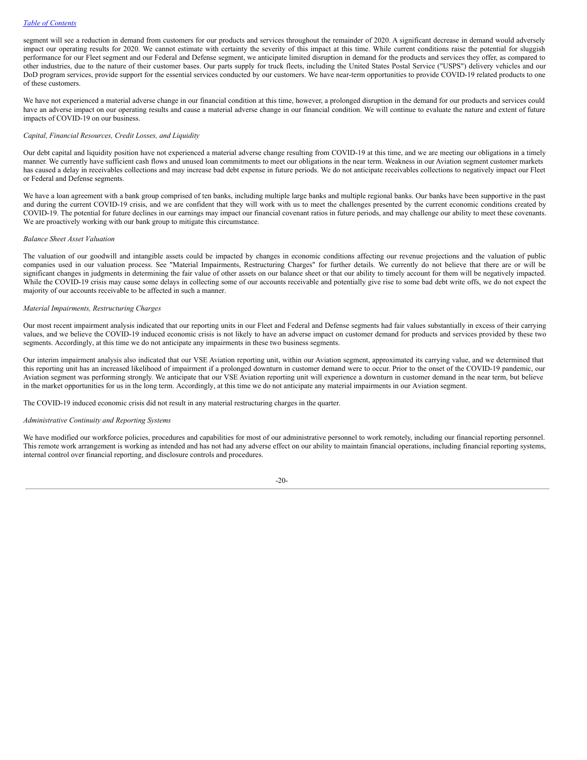#### *Table of [Contents](#page-1-0)*

segment will see a reduction in demand from customers for our products and services throughout the remainder of 2020. A significant decrease in demand would adversely impact our operating results for 2020. We cannot estimate with certainty the severity of this impact at this time. While current conditions raise the potential for sluggish performance for our Fleet segment and our Federal and Defense segment, we anticipate limited disruption in demand for the products and services they offer, as compared to other industries, due to the nature of their customer bases. Our parts supply for truck fleets, including the United States Postal Service ("USPS") delivery vehicles and our DoD program services, provide support for the essential services conducted by our customers. We have near-term opportunities to provide COVID-19 related products to one of these customers.

We have not experienced a material adverse change in our financial condition at this time, however, a prolonged disruption in the demand for our products and services could have an adverse impact on our operating results and cause a material adverse change in our financial condition. We will continue to evaluate the nature and extent of future impacts of COVID-19 on our business.

#### *Capital, Financial Resources, Credit Losses, and Liquidity*

Our debt capital and liquidity position have not experienced a material adverse change resulting from COVID-19 at this time, and we are meeting our obligations in a timely manner. We currently have sufficient cash flows and unused loan commitments to meet our obligations in the near term. Weakness in our Aviation segment customer markets has caused a delay in receivables collections and may increase bad debt expense in future periods. We do not anticipate receivables collections to negatively impact our Fleet or Federal and Defense segments.

We have a loan agreement with a bank group comprised of ten banks, including multiple large banks and multiple regional banks. Our banks have been supportive in the past and during the current COVID-19 crisis, and we are confident that they will work with us to meet the challenges presented by the current economic conditions created by COVID-19. The potential for future declines in our earnings may impact our financial covenant ratios in future periods, and may challenge our ability to meet these covenants. We are proactively working with our bank group to mitigate this circumstance.

## *Balance Sheet Asset Valuation*

The valuation of our goodwill and intangible assets could be impacted by changes in economic conditions affecting our revenue projections and the valuation of public companies used in our valuation process. See "Material Impairments, Restructuring Charges" for further details. We currently do not believe that there are or will be significant changes in judgments in determining the fair value of other assets on our balance sheet or that our ability to timely account for them will be negatively impacted. While the COVID-19 crisis may cause some delays in collecting some of our accounts receivable and potentially give rise to some bad debt write offs, we do not expect the majority of our accounts receivable to be affected in such a manner.

#### *Material Impairments, Restructuring Charges*

Our most recent impairment analysis indicated that our reporting units in our Fleet and Federal and Defense segments had fair values substantially in excess of their carrying values, and we believe the COVID-19 induced economic crisis is not likely to have an adverse impact on customer demand for products and services provided by these two segments. Accordingly, at this time we do not anticipate any impairments in these two business segments.

Our interim impairment analysis also indicated that our VSE Aviation reporting unit, within our Aviation segment, approximated its carrying value, and we determined that this reporting unit has an increased likelihood of impairment if a prolonged downturn in customer demand were to occur. Prior to the onset of the COVID-19 pandemic, our Aviation segment was performing strongly. We anticipate that our VSE Aviation reporting unit will experience a downturn in customer demand in the near term, but believe in the market opportunities for us in the long term. Accordingly, at this time we do not anticipate any material impairments in our Aviation segment.

The COVID-19 induced economic crisis did not result in any material restructuring charges in the quarter.

## *Administrative Continuity and Reporting Systems*

We have modified our workforce policies, procedures and capabilities for most of our administrative personnel to work remotely, including our financial reporting personnel. This remote work arrangement is working as intended and has not had any adverse effect on our ability to maintain financial operations, including financial reporting systems, internal control over financial reporting, and disclosure controls and procedures.

-20-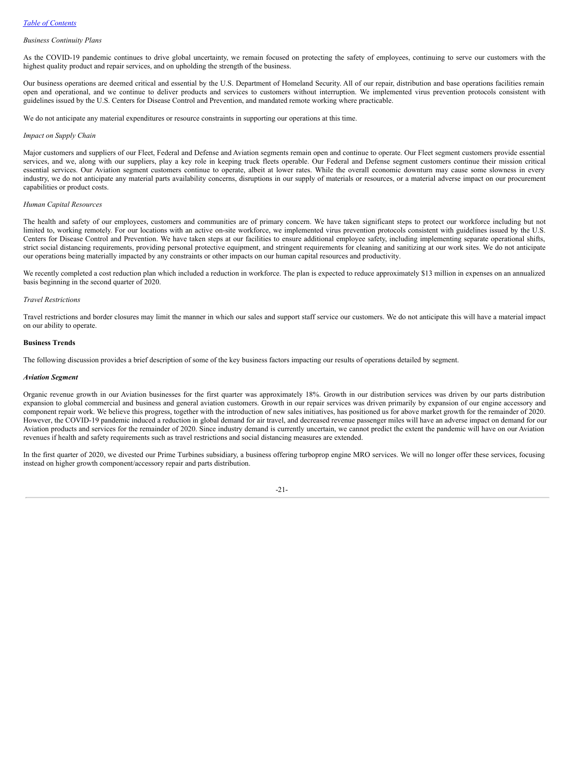#### *Business Continuity Plans*

As the COVID-19 pandemic continues to drive global uncertainty, we remain focused on protecting the safety of employees, continuing to serve our customers with the highest quality product and repair services, and on upholding the strength of the business.

Our business operations are deemed critical and essential by the U.S. Department of Homeland Security. All of our repair, distribution and base operations facilities remain open and operational, and we continue to deliver products and services to customers without interruption. We implemented virus prevention protocols consistent with guidelines issued by the U.S. Centers for Disease Control and Prevention, and mandated remote working where practicable.

We do not anticipate any material expenditures or resource constraints in supporting our operations at this time.

#### *Impact on Supply Chain*

Major customers and suppliers of our Fleet, Federal and Defense and Aviation segments remain open and continue to operate. Our Fleet segment customers provide essential services, and we, along with our suppliers, play a key role in keeping truck fleets operable. Our Federal and Defense segment customers continue their mission critical essential services. Our Aviation segment customers continue to operate, albeit at lower rates. While the overall economic downturn may cause some slowness in every industry, we do not anticipate any material parts availability concerns, disruptions in our supply of materials or resources, or a material adverse impact on our procurement capabilities or product costs.

## *Human Capital Resources*

The health and safety of our employees, customers and communities are of primary concern. We have taken significant steps to protect our workforce including but not limited to, working remotely. For our locations with an active on-site workforce, we implemented virus prevention protocols consistent with guidelines issued by the U.S. Centers for Disease Control and Prevention. We have taken steps at our facilities to ensure additional employee safety, including implementing separate operational shifts, strict social distancing requirements, providing personal protective equipment, and stringent requirements for cleaning and sanitizing at our work sites. We do not anticipate our operations being materially impacted by any constraints or other impacts on our human capital resources and productivity.

We recently completed a cost reduction plan which included a reduction in workforce. The plan is expected to reduce approximately \$13 million in expenses on an annualized basis beginning in the second quarter of 2020.

# *Travel Restrictions*

Travel restrictions and border closures may limit the manner in which our sales and support staff service our customers. We do not anticipate this will have a material impact on our ability to operate.

#### **Business Trends**

The following discussion provides a brief description of some of the key business factors impacting our results of operations detailed by segment.

#### *Aviation Segment*

Organic revenue growth in our Aviation businesses for the first quarter was approximately 18%. Growth in our distribution services was driven by our parts distribution expansion to global commercial and business and general aviation customers. Growth in our repair services was driven primarily by expansion of our engine accessory and component repair work. We believe this progress, together with the introduction of new sales initiatives, has positioned us for above market growth for the remainder of 2020. However, the COVID-19 pandemic induced a reduction in global demand for air travel, and decreased revenue passenger miles will have an adverse impact on demand for our Aviation products and services for the remainder of 2020. Since industry demand is currently uncertain, we cannot predict the extent the pandemic will have on our Aviation revenues if health and safety requirements such as travel restrictions and social distancing measures are extended.

In the first quarter of 2020, we divested our Prime Turbines subsidiary, a business offering turboprop engine MRO services. We will no longer offer these services, focusing instead on higher growth component/accessory repair and parts distribution.

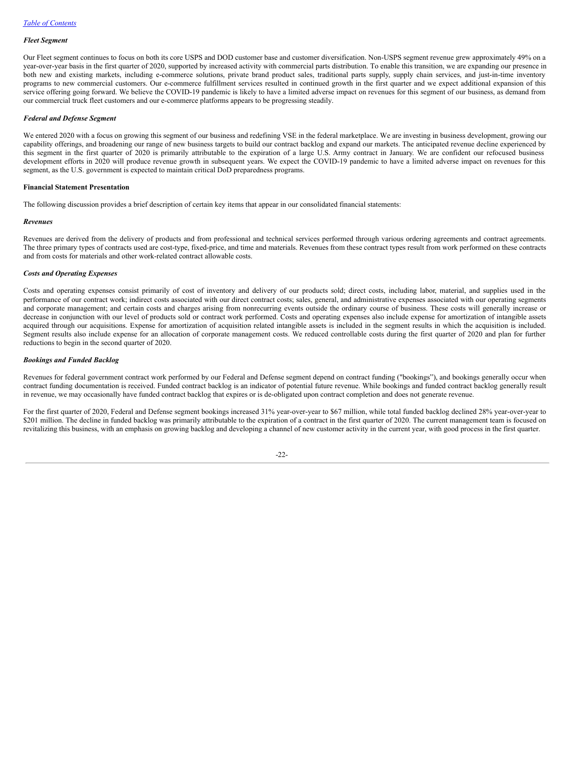## *Fleet Segment*

Our Fleet segment continues to focus on both its core USPS and DOD customer base and customer diversification. Non-USPS segment revenue grew approximately 49% on a year-over-year basis in the first quarter of 2020, supported by increased activity with commercial parts distribution. To enable this transition, we are expanding our presence in both new and existing markets, including e-commerce solutions, private brand product sales, traditional parts supply, supply chain services, and just-in-time inventory programs to new commercial customers. Our e-commerce fulfillment services resulted in continued growth in the first quarter and we expect additional expansion of this service offering going forward. We believe the COVID-19 pandemic is likely to have a limited adverse impact on revenues for this segment of our business, as demand from our commercial truck fleet customers and our e-commerce platforms appears to be progressing steadily.

#### *Federal and Defense Segment*

We entered 2020 with a focus on growing this segment of our business and redefining VSE in the federal marketplace. We are investing in business development, growing our capability offerings, and broadening our range of new business targets to build our contract backlog and expand our markets. The anticipated revenue decline experienced by this segment in the first quarter of 2020 is primarily attributable to the expiration of a large U.S. Army contract in January. We are confident our refocused business development efforts in 2020 will produce revenue growth in subsequent years. We expect the COVID-19 pandemic to have a limited adverse impact on revenues for this segment, as the U.S. government is expected to maintain critical DoD preparedness programs.

### **Financial Statement Presentation**

The following discussion provides a brief description of certain key items that appear in our consolidated financial statements:

#### *Revenues*

Revenues are derived from the delivery of products and from professional and technical services performed through various ordering agreements and contract agreements. The three primary types of contracts used are cost-type, fixed-price, and time and materials. Revenues from these contract types result from work performed on these contracts and from costs for materials and other work-related contract allowable costs.

## *Costs and Operating Expenses*

Costs and operating expenses consist primarily of cost of inventory and delivery of our products sold; direct costs, including labor, material, and supplies used in the performance of our contract work; indirect costs associated with our direct contract costs; sales, general, and administrative expenses associated with our operating segments and corporate management; and certain costs and charges arising from nonrecurring events outside the ordinary course of business. These costs will generally increase or decrease in conjunction with our level of products sold or contract work performed. Costs and operating expenses also include expense for amortization of intangible assets acquired through our acquisitions. Expense for amortization of acquisition related intangible assets is included in the segment results in which the acquisition is included. Segment results also include expense for an allocation of corporate management costs. We reduced controllable costs during the first quarter of 2020 and plan for further reductions to begin in the second quarter of 2020.

# *Bookings and Funded Backlog*

Revenues for federal government contract work performed by our Federal and Defense segment depend on contract funding ("bookings"), and bookings generally occur when contract funding documentation is received. Funded contract backlog is an indicator of potential future revenue. While bookings and funded contract backlog generally result in revenue, we may occasionally have funded contract backlog that expires or is de-obligated upon contract completion and does not generate revenue.

For the first quarter of 2020, Federal and Defense segment bookings increased 31% year-over-year to \$67 million, while total funded backlog declined 28% year-over-year to \$201 million. The decline in funded backlog was primarily attributable to the expiration of a contract in the first quarter of 2020. The current management team is focused on revitalizing this business, with an emphasis on growing backlog and developing a channel of new customer activity in the current year, with good process in the first quarter.

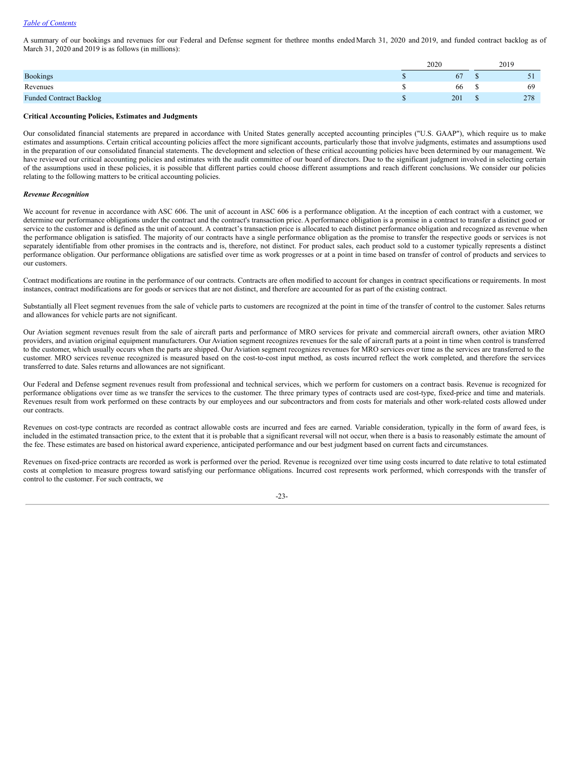A summary of our bookings and revenues for our Federal and Defense segment for thethree months ended March 31, 2020 and 2019, and funded contract backlog as of March 31, 2020 and 2019 is as follows (in millions):

|                                | 2020 | 2019 |
|--------------------------------|------|------|
| <b>Bookings</b>                | 67   | ັ    |
| Revenues                       | 66   | 69   |
| <b>Funded Contract Backlog</b> | 201  | 278  |

### **Critical Accounting Policies, Estimates and Judgments**

Our consolidated financial statements are prepared in accordance with United States generally accepted accounting principles ("U.S. GAAP"), which require us to make estimates and assumptions. Certain critical accounting policies affect the more significant accounts, particularly those that involve judgments, estimates and assumptions used in the preparation of our consolidated financial statements. The development and selection of these critical accounting policies have been determined by our management. We have reviewed our critical accounting policies and estimates with the audit committee of our board of directors. Due to the significant judgment involved in selecting certain of the assumptions used in these policies, it is possible that different parties could choose different assumptions and reach different conclusions. We consider our policies relating to the following matters to be critical accounting policies.

#### *Revenue Recognition*

We account for revenue in accordance with ASC 606. The unit of account in ASC 606 is a performance obligation. At the inception of each contract with a customer, we determine our performance obligations under the contract and the contract's transaction price. A performance obligation is a promise in a contract to transfer a distinct good or service to the customer and is defined as the unit of account. A contract's transaction price is allocated to each distinct performance obligation and recognized as revenue when the performance obligation is satisfied. The majority of our contracts have a single performance obligation as the promise to transfer the respective goods or services is not separately identifiable from other promises in the contracts and is, therefore, not distinct. For product sales, each product sold to a customer typically represents a distinct performance obligation. Our performance obligations are satisfied over time as work progresses or at a point in time based on transfer of control of products and services to our customers.

Contract modifications are routine in the performance of our contracts. Contracts are often modified to account for changes in contract specifications or requirements. In most instances, contract modifications are for goods or services that are not distinct, and therefore are accounted for as part of the existing contract.

Substantially all Fleet segment revenues from the sale of vehicle parts to customers are recognized at the point in time of the transfer of control to the customer. Sales returns and allowances for vehicle parts are not significant.

Our Aviation segment revenues result from the sale of aircraft parts and performance of MRO services for private and commercial aircraft owners, other aviation MRO providers, and aviation original equipment manufacturers. Our Aviation segment recognizes revenues for the sale of aircraft parts at a point in time when control is transferred to the customer, which usually occurs when the parts are shipped. Our Aviation segment recognizes revenues for MRO services over time as the services are transferred to the customer. MRO services revenue recognized is measured based on the cost-to-cost input method, as costs incurred reflect the work completed, and therefore the services transferred to date. Sales returns and allowances are not significant.

Our Federal and Defense segment revenues result from professional and technical services, which we perform for customers on a contract basis. Revenue is recognized for performance obligations over time as we transfer the services to the customer. The three primary types of contracts used are cost-type, fixed-price and time and materials. Revenues result from work performed on these contracts by our employees and our subcontractors and from costs for materials and other work-related costs allowed under our contracts.

Revenues on cost-type contracts are recorded as contract allowable costs are incurred and fees are earned. Variable consideration, typically in the form of award fees, is included in the estimated transaction price, to the extent that it is probable that a significant reversal will not occur, when there is a basis to reasonably estimate the amount of the fee. These estimates are based on historical award experience, anticipated performance and our best judgment based on current facts and circumstances.

Revenues on fixed-price contracts are recorded as work is performed over the period. Revenue is recognized over time using costs incurred to date relative to total estimated costs at completion to measure progress toward satisfying our performance obligations. Incurred cost represents work performed, which corresponds with the transfer of control to the customer. For such contracts, we

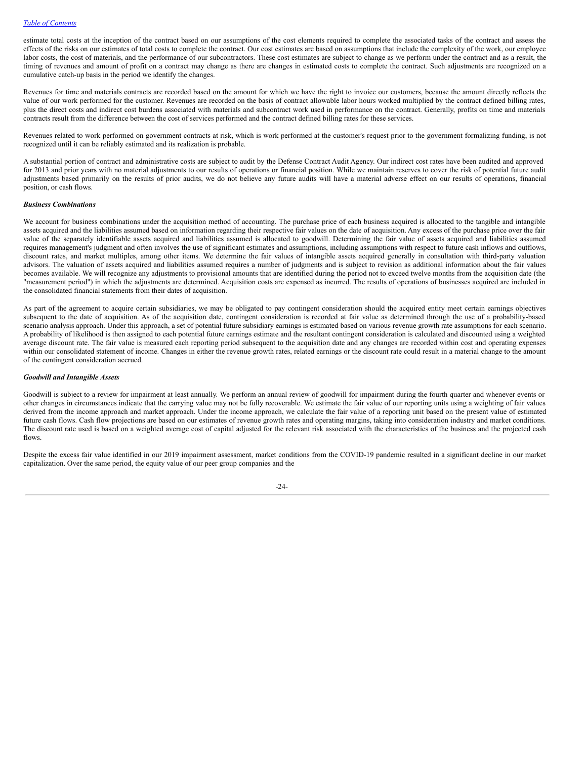estimate total costs at the inception of the contract based on our assumptions of the cost elements required to complete the associated tasks of the contract and assess the effects of the risks on our estimates of total costs to complete the contract. Our cost estimates are based on assumptions that include the complexity of the work, our employee labor costs, the cost of materials, and the performance of our subcontractors. These cost estimates are subject to change as we perform under the contract and as a result, the timing of revenues and amount of profit on a contract may change as there are changes in estimated costs to complete the contract. Such adjustments are recognized on a cumulative catch-up basis in the period we identify the changes.

Revenues for time and materials contracts are recorded based on the amount for which we have the right to invoice our customers, because the amount directly reflects the value of our work performed for the customer. Revenues are recorded on the basis of contract allowable labor hours worked multiplied by the contract defined billing rates, plus the direct costs and indirect cost burdens associated with materials and subcontract work used in performance on the contract. Generally, profits on time and materials contracts result from the difference between the cost of services performed and the contract defined billing rates for these services.

Revenues related to work performed on government contracts at risk, which is work performed at the customer's request prior to the government formalizing funding, is not recognized until it can be reliably estimated and its realization is probable.

A substantial portion of contract and administrative costs are subject to audit by the Defense Contract Audit Agency. Our indirect cost rates have been audited and approved for 2013 and prior years with no material adjustments to our results of operations or financial position. While we maintain reserves to cover the risk of potential future audit adjustments based primarily on the results of prior audits, we do not believe any future audits will have a material adverse effect on our results of operations, financial position, or cash flows.

#### *Business Combinations*

We account for business combinations under the acquisition method of accounting. The purchase price of each business acquired is allocated to the tangible and intangible assets acquired and the liabilities assumed based on information regarding their respective fair values on the date of acquisition. Any excess of the purchase price over the fair value of the separately identifiable assets acquired and liabilities assumed is allocated to goodwill. Determining the fair value of assets acquired and liabilities assumed requires management's judgment and often involves the use of significant estimates and assumptions, including assumptions with respect to future cash inflows and outflows, discount rates, and market multiples, among other items. We determine the fair values of intangible assets acquired generally in consultation with third-party valuation advisors. The valuation of assets acquired and liabilities assumed requires a number of judgments and is subject to revision as additional information about the fair values becomes available. We will recognize any adjustments to provisional amounts that are identified during the period not to exceed twelve months from the acquisition date (the "measurement period") in which the adjustments are determined. Acquisition costs are expensed as incurred. The results of operations of businesses acquired are included in the consolidated financial statements from their dates of acquisition.

As part of the agreement to acquire certain subsidiaries, we may be obligated to pay contingent consideration should the acquired entity meet certain earnings objectives subsequent to the date of acquisition. As of the acquisition date, contingent consideration is recorded at fair value as determined through the use of a probability-based scenario analysis approach. Under this approach, a set of potential future subsidiary earnings is estimated based on various revenue growth rate assumptions for each scenario. A probability of likelihood is then assigned to each potential future earnings estimate and the resultant contingent consideration is calculated and discounted using a weighted average discount rate. The fair value is measured each reporting period subsequent to the acquisition date and any changes are recorded within cost and operating expenses within our consolidated statement of income. Changes in either the revenue growth rates, related earnings or the discount rate could result in a material change to the amount of the contingent consideration accrued.

#### *Goodwill and Intangible Assets*

Goodwill is subject to a review for impairment at least annually. We perform an annual review of goodwill for impairment during the fourth quarter and whenever events or other changes in circumstances indicate that the carrying value may not be fully recoverable. We estimate the fair value of our reporting units using a weighting of fair values derived from the income approach and market approach. Under the income approach, we calculate the fair value of a reporting unit based on the present value of estimated future cash flows. Cash flow projections are based on our estimates of revenue growth rates and operating margins, taking into consideration industry and market conditions. The discount rate used is based on a weighted average cost of capital adjusted for the relevant risk associated with the characteristics of the business and the projected cash flows.

Despite the excess fair value identified in our 2019 impairment assessment, market conditions from the COVID-19 pandemic resulted in a significant decline in our market capitalization. Over the same period, the equity value of our peer group companies and the

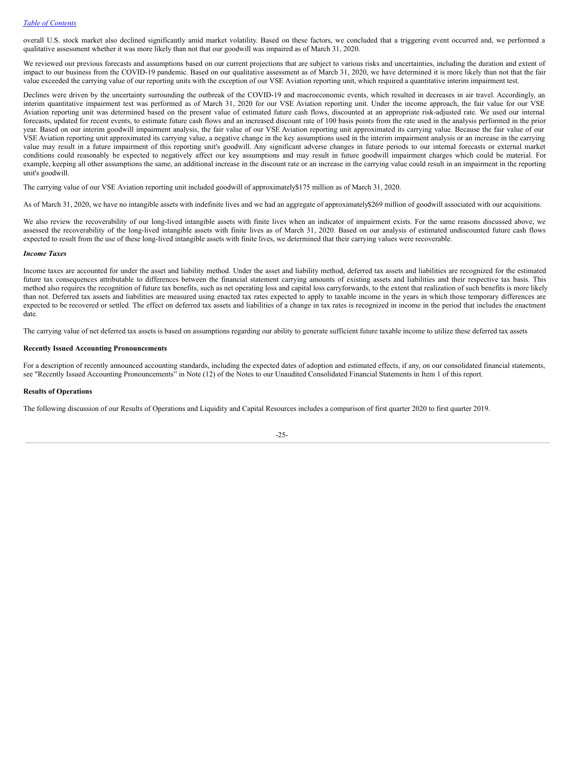overall U.S. stock market also declined significantly amid market volatility. Based on these factors, we concluded that a triggering event occurred and, we performed a qualitative assessment whether it was more likely than not that our goodwill was impaired as of March 31, 2020.

We reviewed our previous forecasts and assumptions based on our current projections that are subject to various risks and uncertainties, including the duration and extent of impact to our business from the COVID-19 pandemic. Based on our qualitative assessment as of March 31, 2020, we have determined it is more likely than not that the fair value exceeded the carrying value of our reporting units with the exception of our VSE Aviation reporting unit, which required a quantitative interim impairment test.

Declines were driven by the uncertainty surrounding the outbreak of the COVID-19 and macroeconomic events, which resulted in decreases in air travel. Accordingly, an interim quantitative impairment test was performed as of March 31, 2020 for our VSE Aviation reporting unit. Under the income approach, the fair value for our VSE Aviation reporting unit was determined based on the present value of estimated future cash flows, discounted at an appropriate risk-adjusted rate. We used our internal forecasts, updated for recent events, to estimate future cash flows and an increased discount rate of 100 basis points from the rate used in the analysis performed in the prior year. Based on our interim goodwill impairment analysis, the fair value of our VSE Aviation reporting unit approximated its carrying value. Because the fair value of our VSE Aviation reporting unit approximated its carrying value, a negative change in the key assumptions used in the interim impairment analysis or an increase in the carrying value may result in a future impairment of this reporting unit's goodwill. Any significant adverse changes in future periods to our internal forecasts or external market conditions could reasonably be expected to negatively affect our key assumptions and may result in future goodwill impairment charges which could be material. For example, keeping all other assumptions the same, an additional increase in the discount rate or an increase in the carrying value could result in an impairment in the reporting unit's goodwill.

The carrying value of our VSE Aviation reporting unit included goodwill of approximately\$175 million as of March 31, 2020.

As of March 31, 2020, we have no intangible assets with indefinite lives and we had an aggregate of approximately\$269 million of goodwill associated with our acquisitions.

We also review the recoverability of our long-lived intangible assets with finite lives when an indicator of impairment exists. For the same reasons discussed above, we assessed the recoverability of the long-lived intangible assets with finite lives as of March 31, 2020. Based on our analysis of estimated undiscounted future cash flows expected to result from the use of these long-lived intangible assets with finite lives, we determined that their carrying values were recoverable.

# *Income Taxes*

Income taxes are accounted for under the asset and liability method. Under the asset and liability method, deferred tax assets and liabilities are recognized for the estimated future tax consequences attributable to differences between the financial statement carrying amounts of existing assets and liabilities and their respective tax basis. This method also requires the recognition of future tax benefits, such as net operating loss and capital loss carryforwards, to the extent that realization of such benefits is more likely than not. Deferred tax assets and liabilities are measured using enacted tax rates expected to apply to taxable income in the years in which those temporary differences are expected to be recovered or settled. The effect on deferred tax assets and liabilities of a change in tax rates is recognized in income in the period that includes the enactment date.

The carrying value of net deferred tax assets is based on assumptions regarding our ability to generate sufficient future taxable income to utilize these deferred tax assets

### **Recently Issued Accounting Pronouncements**

For a description of recently announced accounting standards, including the expected dates of adoption and estimated effects, if any, on our consolidated financial statements, see "Recently Issued Accounting Pronouncements" in Note (12) of the Notes to our Unaudited Consolidated Financial Statements in Item 1 of this report.

#### **Results of Operations**

The following discussion of our Results of Operations and Liquidity and Capital Resources includes a comparison of first quarter 2020 to first quarter 2019.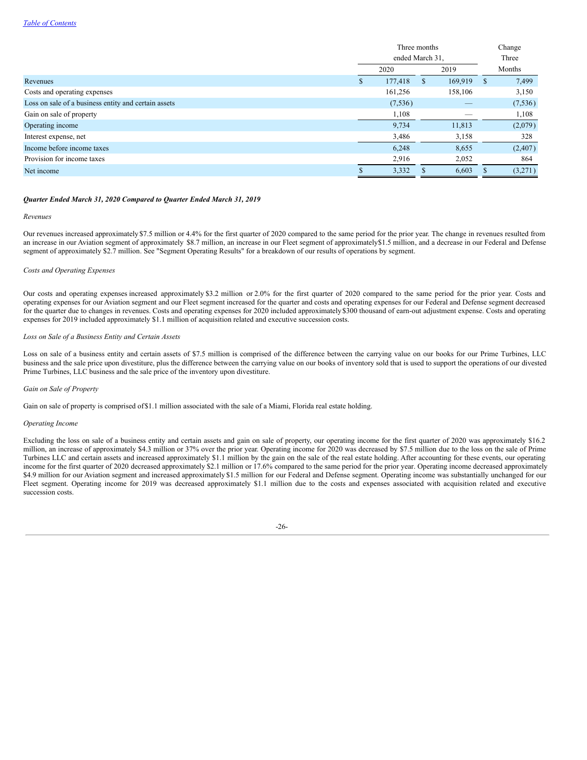|                                                      | Three months    |         |   |         |   | Change   |
|------------------------------------------------------|-----------------|---------|---|---------|---|----------|
|                                                      | ended March 31, |         |   | Three   |   |          |
|                                                      | 2019<br>2020    |         |   | Months  |   |          |
| Revenues                                             | D.              | 177,418 | S | 169,919 | S | 7,499    |
| Costs and operating expenses                         |                 | 161,256 |   | 158,106 |   | 3,150    |
| Loss on sale of a business entity and certain assets |                 | (7,536) |   | _       |   | (7, 536) |
| Gain on sale of property                             |                 | 1,108   |   |         |   | 1,108    |
| Operating income                                     |                 | 9,734   |   | 11,813  |   | (2,079)  |
| Interest expense, net                                |                 | 3,486   |   | 3,158   |   | 328      |
| Income before income taxes                           |                 | 6,248   |   | 8,655   |   | (2,407)  |
| Provision for income taxes                           |                 | 2,916   |   | 2,052   |   | 864      |
| Net income                                           | ъ               | 3,332   |   | 6,603   |   | (3,271)  |

## *Quarter Ended March 31, 2020 Compared to Quarter Ended March 31, 2019*

#### *Revenues*

Our revenues increased approximately \$7.5 million or 4.4% for the first quarter of 2020 compared to the same period for the prior year. The change in revenues resulted from an increase in our Aviation segment of approximately \$8.7 million, an increase in our Fleet segment of approximately\$1.5 million, and a decrease in our Federal and Defense segment of approximately \$2.7 million. See "Segment Operating Results" for a breakdown of our results of operations by segment.

#### *Costs and Operating Expenses*

Our costs and operating expenses increased approximately \$3.2 million or 2.0% for the first quarter of 2020 compared to the same period for the prior year. Costs and operating expenses for our Aviation segment and our Fleet segment increased for the quarter and costs and operating expenses for our Federal and Defense segment decreased for the quarter due to changes in revenues. Costs and operating expenses for 2020 included approximately \$300 thousand of earn-out adjustment expense. Costs and operating expenses for 2019 included approximately \$1.1 million of acquisition related and executive succession costs.

# *Loss on Sale of a Business Entity and Certain Assets*

Loss on sale of a business entity and certain assets of \$7.5 million is comprised of the difference between the carrying value on our books for our Prime Turbines, LLC business and the sale price upon divestiture, plus the difference between the carrying value on our books of inventory sold that is used to support the operations of our divested Prime Turbines, LLC business and the sale price of the inventory upon divestiture.

#### *Gain on Sale of Property*

Gain on sale of property is comprised of\$1.1 million associated with the sale of a Miami, Florida real estate holding.

#### *Operating Income*

Excluding the loss on sale of a business entity and certain assets and gain on sale of property, our operating income for the first quarter of 2020 was approximately \$16.2 million, an increase of approximately \$4.3 million or 37% over the prior year. Operating income for 2020 was decreased by \$7.5 million due to the loss on the sale of Prime Turbines LLC and certain assets and increased approximately \$1.1 million by the gain on the sale of the real estate holding. After accounting for these events, our operating income for the first quarter of 2020 decreased approximately \$2.1 million or 17.6% compared to the same period for the prior year. Operating income decreased approximately \$4.9 million for our Aviation segment and increased approximately \$1.5 million for our Federal and Defense segment. Operating income was substantially unchanged for our Fleet segment. Operating income for 2019 was decreased approximately \$1.1 million due to the costs and expenses associated with acquisition related and executive succession costs.

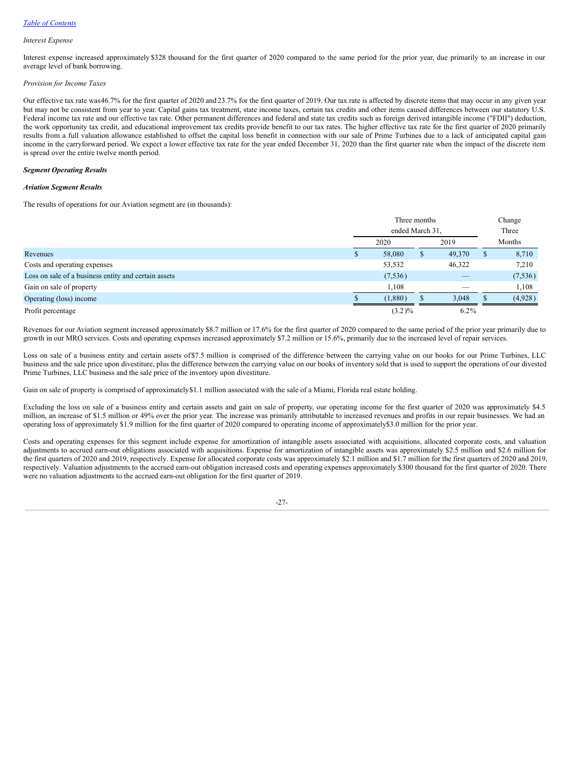# *Table of [Contents](#page-1-0)*

## *Interest Expense*

Interest expense increased approximately \$328 thousand for the first quarter of 2020 compared to the same period for the prior year, due primarily to an increase in our average level of bank borrowing.

## *Provision for Income Taxes*

Our effective tax rate was46.7% for the first quarter of 2020 and 23.7% for the first quarter of 2019. Our tax rate is affected by discrete items that may occur in any given year but may not be consistent from year to year. Capital gains tax treatment, state income taxes, certain tax credits and other items caused differences between our statutory U.S. Federal income tax rate and our effective tax rate. Other permanent differences and federal and state tax credits such as foreign derived intangible income ("FDII") deduction, the work opportunity tax credit, and educational improvement tax credits provide benefit to our tax rates. The higher effective tax rate for the first quarter of 2020 primarily results from a full valuation allowance established to offset the capital loss benefit in connection with our sale of Prime Turbines due to a lack of anticipated capital gain income in the carryforward period. We expect a lower effective tax rate for the year ended December 31, 2020 than the first quarter rate when the impact of the discrete item is spread over the entire twelve month period.

## *Segment Operating Results*

#### *Aviation Segment Results*

The results of operations for our Aviation segment are (in thousands):

|                                                      | Three months    |           |          |         | Change |          |  |
|------------------------------------------------------|-----------------|-----------|----------|---------|--------|----------|--|
|                                                      | ended March 31, |           |          |         | Three  |          |  |
|                                                      | 2019<br>2020    |           |          | Months  |        |          |  |
| Revenues                                             |                 | 58,080    | S.       | 49,370  |        | 8,710    |  |
| Costs and operating expenses                         |                 | 53,532    |          | 46,322  |        | 7,210    |  |
| Loss on sale of a business entity and certain assets |                 | (7,536)   |          | _       |        | (7, 536) |  |
| Gain on sale of property                             |                 | 1.108     |          | __      |        | 1,108    |  |
| Operating (loss) income                              |                 | (1,880)   | <b>S</b> | 3,048   |        | (4,928)  |  |
| Profit percentage                                    |                 | $(3.2)\%$ |          | $6.2\%$ |        |          |  |

Revenues for our Aviation segment increased approximately \$8.7 million or 17.6% for the first quarter of 2020 compared to the same period of the prior year primarily due to growth in our MRO services. Costs and operating expenses increased approximately \$7.2 million or 15.6%, primarily due to the increased level of repair services.

Loss on sale of a business entity and certain assets of \$7.5 million is comprised of the difference between the carrying value on our books for our Prime Turbines, LLC business and the sale price upon divestiture, plus the difference between the carrying value on our books of inventory sold that is used to support the operations of our divested Prime Turbines, LLC business and the sale price of the inventory upon divestiture.

Gain on sale of property is comprised of approximately\$1.1 million associated with the sale of a Miami, Florida real estate holding.

Excluding the loss on sale of a business entity and certain assets and gain on sale of property, our operating income for the first quarter of 2020 was approximately \$4.5 million, an increase of \$1.5 million or 49% over the prior year. The increase was primarily attributable to increased revenues and profits in our repair businesses. We had an operating loss of approximately \$1.9 million for the first quarter of 2020 compared to operating income of approximately\$3.0 million for the prior year.

Costs and operating expenses for this segment include expense for amortization of intangible assets associated with acquisitions, allocated corporate costs, and valuation adjustments to accrued earn-out obligations associated with acquisitions. Expense for amortization of intangible assets was approximately \$2.5 million and \$2.6 million for the first quarters of 2020 and 2019, respectively. Expense for allocated corporate costs was approximately \$2.1 million and \$1.7 million for the first quarters of 2020 and 2019, respectively. Valuation adjustments to the accrued earn-out obligation increased costs and operating expenses approximately \$300 thousand for the first quarter of 2020. There were no valuation adjustments to the accrued earn-out obligation for the first quarter of 2019.

-27-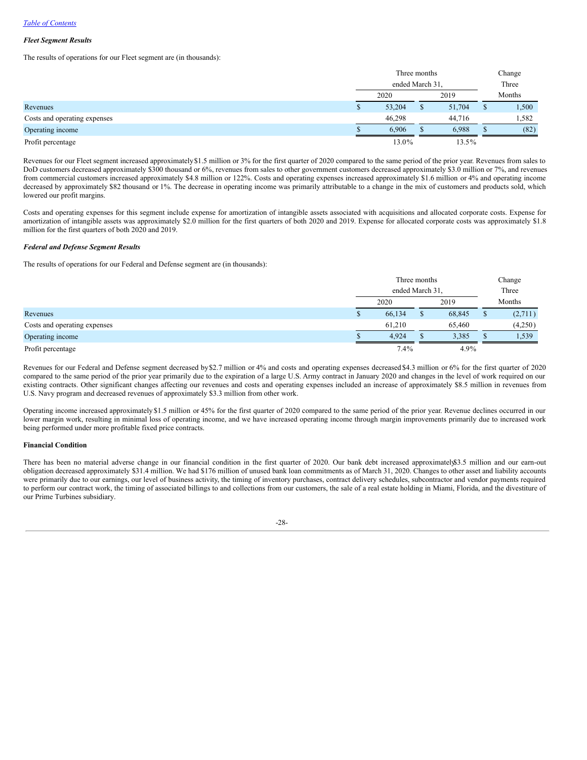# *Fleet Segment Results*

The results of operations for our Fleet segment are (in thousands):

|                              |  | Three months<br>ended March 31, |        |  |        |       | Change |
|------------------------------|--|---------------------------------|--------|--|--------|-------|--------|
|                              |  |                                 |        |  |        | Three |        |
|                              |  | 2019<br>2020                    |        |  | Months |       |        |
| Revenues                     |  |                                 | 53,204 |  | 51,704 |       | 1,500  |
| Costs and operating expenses |  |                                 | 46,298 |  | 44,716 |       | 1,582  |
| Operating income             |  |                                 | 6.906  |  | 6,988  |       | (82)   |
| Profit percentage            |  |                                 | 13.0%  |  | 13.5%  |       |        |

Revenues for our Fleet segment increased approximately \$1.5 million or 3% for the first quarter of 2020 compared to the same period of the prior year. Revenues from sales to DoD customers decreased approximately \$300 thousand or 6%, revenues from sales to other government customers decreased approximately \$3.0 million or 7%, and revenues from commercial customers increased approximately \$4.8 million or 122%. Costs and operating expenses increased approximately \$1.6 million or 4% and operating income decreased by approximately \$82 thousand or 1%. The decrease in operating income was primarily attributable to a change in the mix of customers and products sold, which lowered our profit margins.

Costs and operating expenses for this segment include expense for amortization of intangible assets associated with acquisitions and allocated corporate costs. Expense for amortization of intangible assets was approximately \$2.0 million for the first quarters of both 2020 and 2019. Expense for allocated corporate costs was approximately \$1.8 million for the first quarters of both 2020 and 2019.

# *Federal and Defense Segment Results*

The results of operations for our Federal and Defense segment are (in thousands):

|                              |  | Three months<br>ended March 31, |        |        |         | Change |         |
|------------------------------|--|---------------------------------|--------|--------|---------|--------|---------|
|                              |  |                                 |        |        |         |        | Three   |
|                              |  | 2020<br>2019                    |        | Months |         |        |         |
| Revenues                     |  | Φ                               | 66,134 | ۰D     | 68,845  |        | (2,711) |
| Costs and operating expenses |  |                                 | 61.210 |        | 65,460  |        | (4,250) |
| Operating income             |  |                                 | 4.924  |        | 3,385   |        | 1,539   |
| Profit percentage            |  |                                 | 7.4%   |        | $4.9\%$ |        |         |

Revenues for our Federal and Defense segment decreased by \$2.7 million or 4% and costs and operating expenses decreased \$4.3 million or 6% for the first quarter of 2020 compared to the same period of the prior year primarily due to the expiration of a large U.S. Army contract in January 2020 and changes in the level of work required on our existing contracts. Other significant changes affecting our revenues and costs and operating expenses included an increase of approximately \$8.5 million in revenues from U.S. Navy program and decreased revenues of approximately \$3.3 million from other work.

Operating income increased approximately \$1.5 million or 45% for the first quarter of 2020 compared to the same period of the prior year. Revenue declines occurred in our lower margin work, resulting in minimal loss of operating income, and we have increased operating income through margin improvements primarily due to increased work being performed under more profitable fixed price contracts.

# **Financial Condition**

There has been no material adverse change in our financial condition in the first quarter of 2020. Our bank debt increased approximately \$3.5 million and our earn-out obligation decreased approximately \$31.4 million. We had \$176 million of unused bank loan commitments as of March 31, 2020. Changes to other asset and liability accounts were primarily due to our earnings, our level of business activity, the timing of inventory purchases, contract delivery schedules, subcontractor and vendor payments required to perform our contract work, the timing of associated billings to and collections from our customers, the sale of a real estate holding in Miami, Florida, and the divestiture of our Prime Turbines subsidiary.

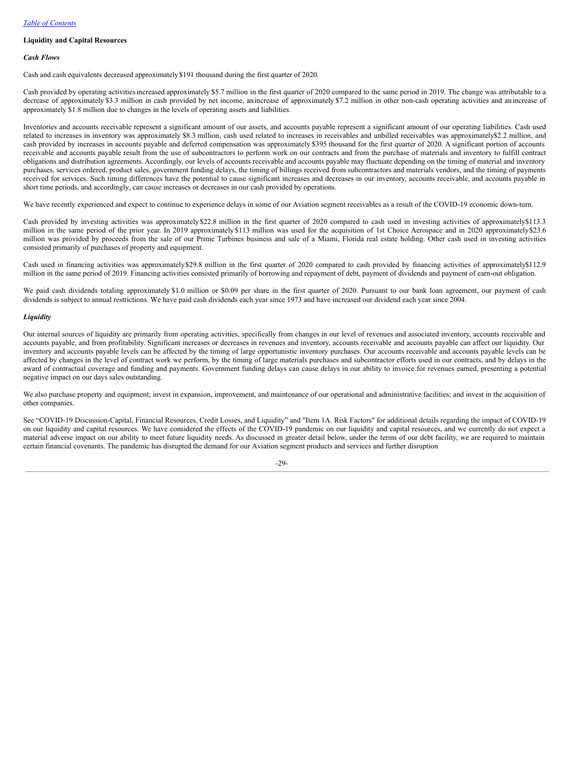# **Liquidity and Capital Resources**

*Cash Flows*

Cash and cash equivalents decreased approximately\$191 thousand during the first quarter of 2020.

Cash provided by operating activitiesincreased approximately \$5.7 million in the first quarter of 2020 compared to the same period in 2019. The change was attributable to a decrease of approximately \$3.3 million in cash provided by net income, anincrease of approximately \$7.2 million in other non-cash operating activities and an increase of approximately \$1.8 million due to changes in the levels of operating assets and liabilities.

Inventories and accounts receivable represent a significant amount of our assets, and accounts payable represent a significant amount of our operating liabilities. Cash used related to increases in inventory was approximately \$8.3 million, cash used related to increases in receivables and unbilled receivables was approximately\$2.2 million, and cash provided by increases in accounts payable and deferred compensation was approximately \$395 thousand for the first quarter of 2020. A significant portion of accounts receivable and accounts payable result from the use of subcontractors to perform work on our contracts and from the purchase of materials and inventory to fulfill contract obligations and distribution agreements. Accordingly, our levels of accounts receivable and accounts payable may fluctuate depending on the timing of material and inventory purchases, services ordered, product sales, government funding delays, the timing of billings received from subcontractors and materials vendors, and the timing of payments received for services. Such timing differences have the potential to cause significant increases and decreases in our inventory, accounts receivable, and accounts payable in short time periods, and accordingly, can cause increases or decreases in our cash provided by operations.

We have recently experienced and expect to continue to experience delays in some of our Aviation segment receivables as a result of the COVID-19 economic down-turn.

Cash provided by investing activities was approximately\$22.8 million in the first quarter of 2020 compared to cash used in investing activities of approximately\$113.3 million in the same period of the prior year. In 2019 approximately \$113 million was used for the acquisition of 1st Choice Aerospace and in 2020 approximately \$23.6 million was provided by proceeds from the sale of our Prime Turbines business and sale of a Miami, Florida real estate holding. Other cash used in investing activities consisted primarily of purchases of property and equipment.

Cash used in financing activities was approximately\$29.8 million in the first quarter of 2020 compared to cash provided by financing activities of approximately\$112.9 million in the same period of 2019. Financing activities consisted primarily of borrowing and repayment of debt, payment of dividends and payment of earn-out obligation.

We paid cash dividends totaling approximately \$1.0 million or \$0.09 per share in the first quarter of 2020. Pursuant to our bank loan agreement, our payment of cash dividends is subject to annual restrictions. We have paid cash dividends each year since 1973 and have increased our dividend each year since 2004.

#### *Liquidity*

Our internal sources of liquidity are primarily from operating activities, specifically from changes in our level of revenues and associated inventory, accounts receivable and accounts payable, and from profitability. Significant increases or decreases in revenues and inventory, accounts receivable and accounts payable can affect our liquidity. Our inventory and accounts payable levels can be affected by the timing of large opportunistic inventory purchases. Our accounts receivable and accounts payable levels can be affected by changes in the level of contract work we perform, by the timing of large materials purchases and subcontractor efforts used in our contracts, and by delays in the award of contractual coverage and funding and payments. Government funding delays can cause delays in our ability to invoice for revenues earned, presenting a potential negative impact on our days sales outstanding.

We also purchase property and equipment; invest in expansion, improvement, and maintenance of our operational and administrative facilities; and invest in the acquisition of other companies.

See "COVID-19 Discussion-Capital, Financial Resources, Credit Losses, and Liquidity" and "Item 1A. Risk Factors" for additional details regarding the impact of COVID-19 on our liquidity and capital resources. We have considered the effects of the COVID-19 pandemic on our liquidity and capital resources, and we currently do not expect a material adverse impact on our ability to meet future liquidity needs. As discussed in greater detail below, under the terms of our debt facility, we are required to maintain certain financial covenants. The pandemic has disrupted the demand for our Aviation segment products and services and further disruption

-29-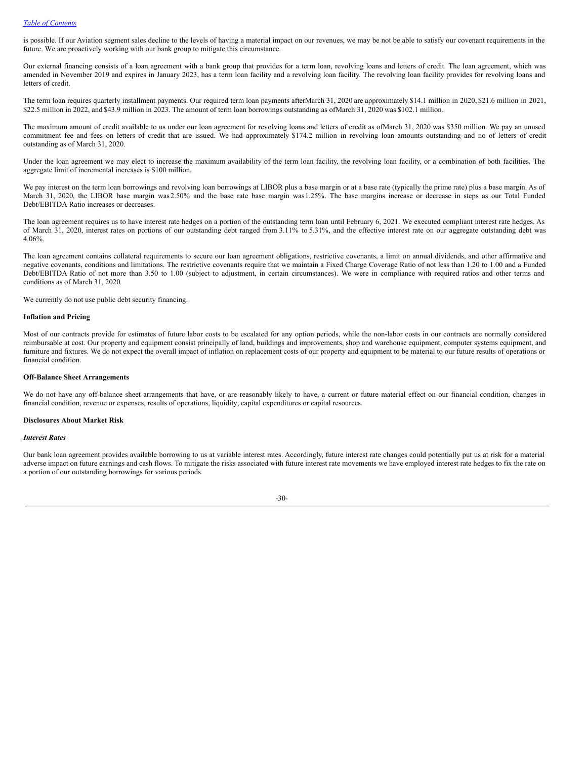is possible. If our Aviation segment sales decline to the levels of having a material impact on our revenues, we may be not be able to satisfy our covenant requirements in the future. We are proactively working with our bank group to mitigate this circumstance.

Our external financing consists of a loan agreement with a bank group that provides for a term loan, revolving loans and letters of credit. The loan agreement, which was amended in November 2019 and expires in January 2023, has a term loan facility and a revolving loan facility. The revolving loan facility provides for revolving loans and letters of credit.

The term loan requires quarterly installment payments. Our required term loan payments afterMarch 31, 2020 are approximately \$14.1 million in 2020, \$21.6 million in 2021, \$22.5 million in 2022, and \$43.9 million in 2023. The amount of term loan borrowings outstanding as ofMarch 31, 2020 was \$102.1 million.

The maximum amount of credit available to us under our loan agreement for revolving loans and letters of credit as ofMarch 31, 2020 was \$350 million. We pay an unused commitment fee and fees on letters of credit that are issued. We had approximately \$174.2 million in revolving loan amounts outstanding and no of letters of credit outstanding as of March 31, 2020.

Under the loan agreement we may elect to increase the maximum availability of the term loan facility, the revolving loan facility, or a combination of both facilities. The aggregate limit of incremental increases is \$100 million.

We pay interest on the term loan borrowings and revolving loan borrowings at LIBOR plus a base margin or at a base rate (typically the prime rate) plus a base margin. As of March 31, 2020, the LIBOR base margin was 2.50% and the base rate base margin was1.25%. The base margins increase or decrease in steps as our Total Funded Debt/EBITDA Ratio increases or decreases.

The loan agreement requires us to have interest rate hedges on a portion of the outstanding term loan until February 6, 2021. We executed compliant interest rate hedges. As of March 31, 2020, interest rates on portions of our outstanding debt ranged from 3.11% to 5.31%, and the effective interest rate on our aggregate outstanding debt was 4.06%.

The loan agreement contains collateral requirements to secure our loan agreement obligations, restrictive covenants, a limit on annual dividends, and other affirmative and negative covenants, conditions and limitations. The restrictive covenants require that we maintain a Fixed Charge Coverage Ratio of not less than 1.20 to 1.00 and a Funded Debt/EBITDA Ratio of not more than 3.50 to 1.00 (subject to adjustment, in certain circumstances). We were in compliance with required ratios and other terms and conditions as of March 31, 2020.

We currently do not use public debt security financing.

#### **Inflation and Pricing**

Most of our contracts provide for estimates of future labor costs to be escalated for any option periods, while the non-labor costs in our contracts are normally considered reimbursable at cost. Our property and equipment consist principally of land, buildings and improvements, shop and warehouse equipment, computer systems equipment, and furniture and fixtures. We do not expect the overall impact of inflation on replacement costs of our property and equipment to be material to our future results of operations or financial condition.

#### **Off-Balance Sheet Arrangements**

We do not have any off-balance sheet arrangements that have, or are reasonably likely to have, a current or future material effect on our financial condition, changes in financial condition, revenue or expenses, results of operations, liquidity, capital expenditures or capital resources.

### **Disclosures About Market Risk**

### *Interest Rates*

Our bank loan agreement provides available borrowing to us at variable interest rates. Accordingly, future interest rate changes could potentially put us at risk for a material adverse impact on future earnings and cash flows. To mitigate the risks associated with future interest rate movements we have employed interest rate hedges to fix the rate on a portion of our outstanding borrowings for various periods.

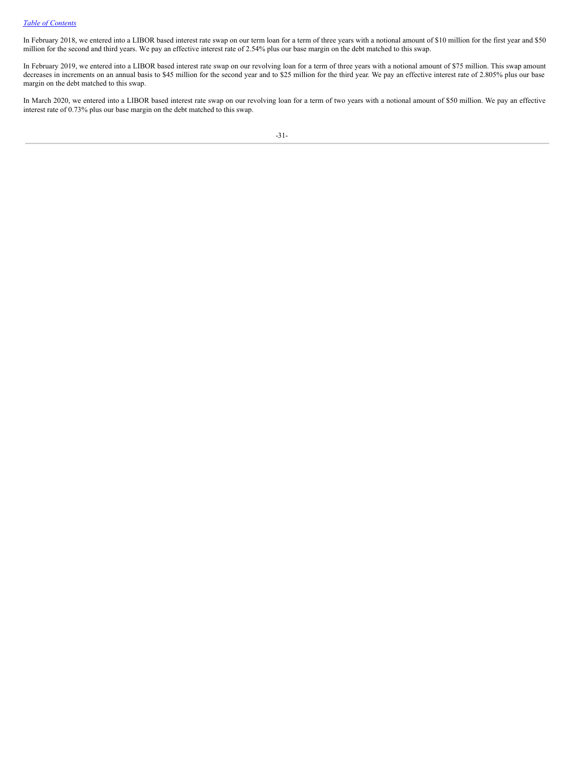In February 2018, we entered into a LIBOR based interest rate swap on our term loan for a term of three years with a notional amount of \$10 million for the first year and \$50 million for the second and third years. We pay an effective interest rate of 2.54% plus our base margin on the debt matched to this swap.

In February 2019, we entered into a LIBOR based interest rate swap on our revolving loan for a term of three years with a notional amount of \$75 million. This swap amount decreases in increments on an annual basis to \$45 million for the second year and to \$25 million for the third year. We pay an effective interest rate of 2.805% plus our base margin on the debt matched to this swap.

In March 2020, we entered into a LIBOR based interest rate swap on our revolving loan for a term of two years with a notional amount of \$50 million. We pay an effective interest rate of 0.73% plus our base margin on the debt matched to this swap.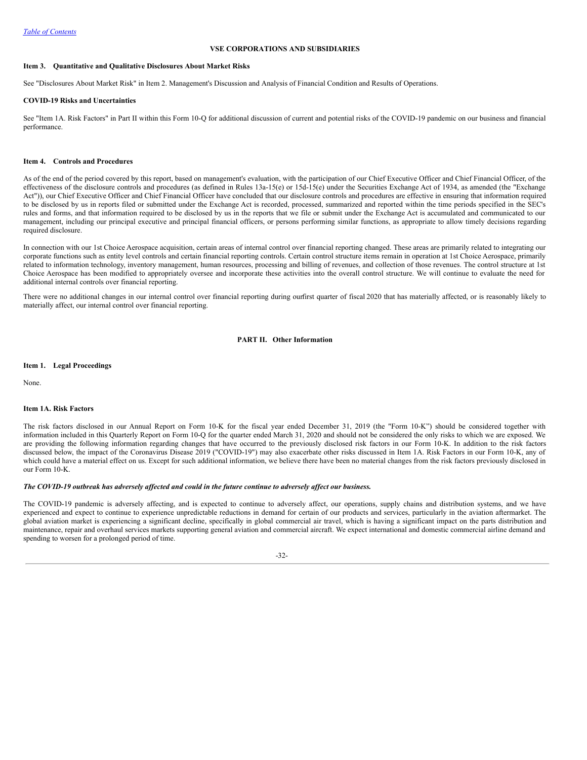### **VSE CORPORATIONS AND SUBSIDIARIES**

#### <span id="page-31-0"></span>**Item 3. Quantitative and Qualitative Disclosures About Market Risks**

See "Disclosures About Market Risk" in Item 2. Management's Discussion and Analysis of Financial Condition and Results of Operations.

## **COVID-19 Risks and Uncertainties**

See "Item 1A. Risk Factors" in Part II within this Form 10-Q for additional discussion of current and potential risks of the COVID-19 pandemic on our business and financial performance.

#### <span id="page-31-1"></span>**Item 4. Controls and Procedures**

As of the end of the period covered by this report, based on management's evaluation, with the participation of our Chief Executive Officer and Chief Financial Officer, of the effectiveness of the disclosure controls and procedures (as defined in Rules 13a-15(e) or 15d-15(e) under the Securities Exchange Act of 1934, as amended (the "Exchange Act")), our Chief Executive Officer and Chief Financial Officer have concluded that our disclosure controls and procedures are effective in ensuring that information required to be disclosed by us in reports filed or submitted under the Exchange Act is recorded, processed, summarized and reported within the time periods specified in the SEC's rules and forms, and that information required to be disclosed by us in the reports that we file or submit under the Exchange Act is accumulated and communicated to our management, including our principal executive and principal financial officers, or persons performing similar functions, as appropriate to allow timely decisions regarding required disclosure.

In connection with our 1st Choice Aerospace acquisition, certain areas of internal control over financial reporting changed. These areas are primarily related to integrating our corporate functions such as entity level controls and certain financial reporting controls. Certain control structure items remain in operation at 1st Choice Aerospace, primarily related to information technology, inventory management, human resources, processing and billing of revenues, and collection of those revenues. The control structure at 1st Choice Aerospace has been modified to appropriately oversee and incorporate these activities into the overall control structure. We will continue to evaluate the need for additional internal controls over financial reporting.

<span id="page-31-2"></span>There were no additional changes in our internal control over financial reporting during ourfirst quarter of fiscal 2020 that has materially affected, or is reasonably likely to materially affect, our internal control over financial reporting.

## **PART II. Other Information**

#### <span id="page-31-3"></span>**Item 1. Legal Proceedings**

None.

#### <span id="page-31-4"></span>**Item 1A. Risk Factors**

The risk factors disclosed in our Annual Report on Form 10-K for the fiscal year ended December 31, 2019 (the "Form 10-K") should be considered together with information included in this Quarterly Report on Form 10-Q for the quarter ended March 31, 2020 and should not be considered the only risks to which we are exposed. We are providing the following information regarding changes that have occurred to the previously disclosed risk factors in our Form 10-K. In addition to the risk factors discussed below, the impact of the Coronavirus Disease 2019 ("COVID-19") may also exacerbate other risks discussed in Item 1A. Risk Factors in our Form 10-K, any of which could have a material effect on us. Except for such additional information, we believe there have been no material changes from the risk factors previously disclosed in our Form 10-K.

## The COVID-19 outbreak has adversely affected and could in the future continue to adversely affect our business.

The COVID-19 pandemic is adversely affecting, and is expected to continue to adversely affect, our operations, supply chains and distribution systems, and we have experienced and expect to continue to experience unpredictable reductions in demand for certain of our products and services, particularly in the aviation aftermarket. The global aviation market is experiencing a significant decline, specifically in global commercial air travel, which is having a significant impact on the parts distribution and maintenance, repair and overhaul services markets supporting general aviation and commercial aircraft. We expect international and domestic commercial airline demand and spending to worsen for a prolonged period of time.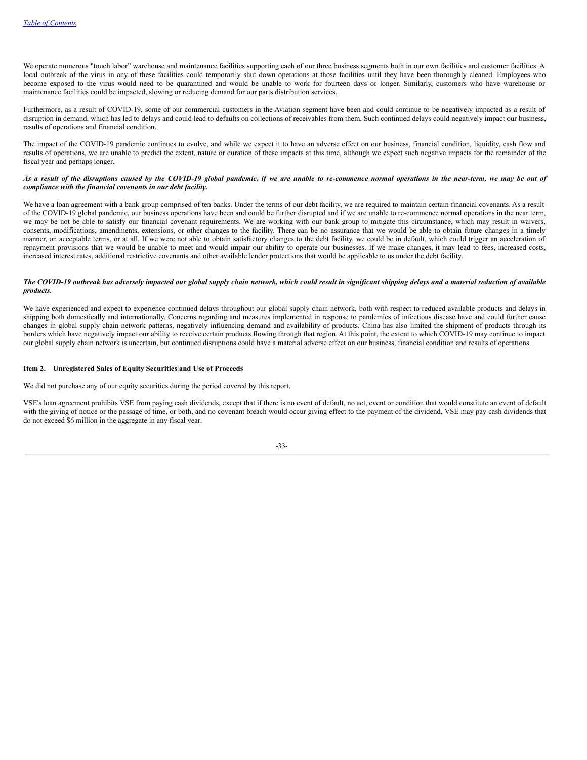We operate numerous "touch labor" warehouse and maintenance facilities supporting each of our three business segments both in our own facilities and customer facilities. A local outbreak of the virus in any of these facilities could temporarily shut down operations at those facilities until they have been thoroughly cleaned. Employees who become exposed to the virus would need to be quarantined and would be unable to work for fourteen days or longer. Similarly, customers who have warehouse or maintenance facilities could be impacted, slowing or reducing demand for our parts distribution services.

Furthermore, as a result of COVID-19, some of our commercial customers in the Aviation segment have been and could continue to be negatively impacted as a result of disruption in demand, which has led to delays and could lead to defaults on collections of receivables from them. Such continued delays could negatively impact our business, results of operations and financial condition.

The impact of the COVID-19 pandemic continues to evolve, and while we expect it to have an adverse effect on our business, financial condition, liquidity, cash flow and results of operations, we are unable to predict the extent, nature or duration of these impacts at this time, although we expect such negative impacts for the remainder of the fiscal year and perhaps longer.

## As a result of the disruptions caused by the COVID-19 global pandemic, if we are unable to re-commence normal operations in the near-term, we may be out of *compliance with the financial covenants in our debt facility.*

We have a loan agreement with a bank group comprised of ten banks. Under the terms of our debt facility, we are required to maintain certain financial covenants. As a result of the COVID-19 global pandemic, our business operations have been and could be further disrupted and if we are unable to re-commence normal operations in the near term, we may be not be able to satisfy our financial covenant requirements. We are working with our bank group to mitigate this circumstance, which may result in waivers, consents, modifications, amendments, extensions, or other changes to the facility. There can be no assurance that we would be able to obtain future changes in a timely manner, on acceptable terms, or at all. If we were not able to obtain satisfactory changes to the debt facility, we could be in default, which could trigger an acceleration of repayment provisions that we would be unable to meet and would impair our ability to operate our businesses. If we make changes, it may lead to fees, increased costs, increased interest rates, additional restrictive covenants and other available lender protections that would be applicable to us under the debt facility.

#### The COVID-19 outbreak has adversely impacted our global supply chain network, which could result in significant shipping delays and a material reduction of available *products.*

We have experienced and expect to experience continued delays throughout our global supply chain network, both with respect to reduced available products and delays in shipping both domestically and internationally. Concerns regarding and measures implemented in response to pandemics of infectious disease have and could further cause changes in global supply chain network patterns, negatively influencing demand and availability of products. China has also limited the shipment of products through its borders which have negatively impact our ability to receive certain products flowing through that region. At this point, the extent to which COVID-19 may continue to impact our global supply chain network is uncertain, but continued disruptions could have a material adverse effect on our business, financial condition and results of operations.

## <span id="page-32-0"></span>**Item 2. Unregistered Sales of Equity Securities and Use of Proceeds**

We did not purchase any of our equity securities during the period covered by this report.

VSE's loan agreement prohibits VSE from paying cash dividends, except that if there is no event of default, no act, event or condition that would constitute an event of default with the giving of notice or the passage of time, or both, and no covenant breach would occur giving effect to the payment of the dividend, VSE may pay cash dividends that do not exceed \$6 million in the aggregate in any fiscal year.

-33-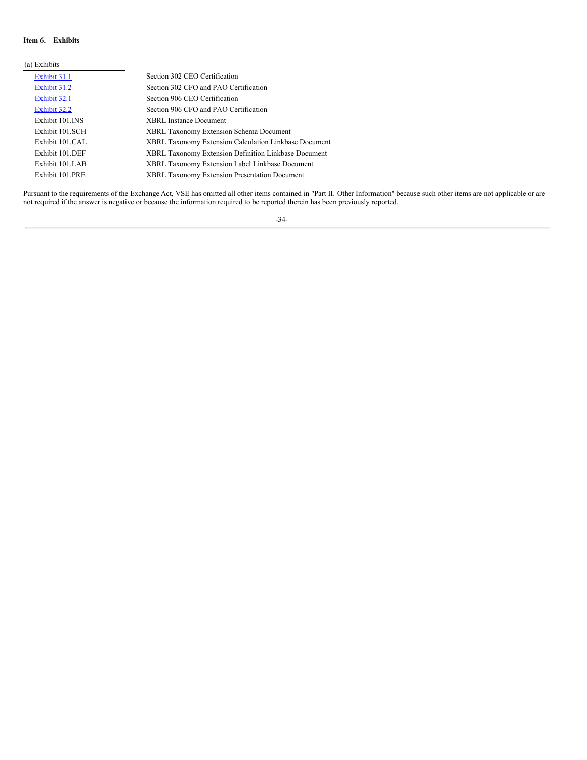# <span id="page-33-0"></span>**Item 6. Exhibits**

| (a) Exhibits    |                                                             |
|-----------------|-------------------------------------------------------------|
| Exhibit 31.1    | Section 302 CEO Certification                               |
| Exhibit 31.2    | Section 302 CFO and PAO Certification                       |
| Exhibit 32.1    | Section 906 CEO Certification                               |
| Exhibit 32.2    | Section 906 CFO and PAO Certification                       |
| Exhibit 101.INS | <b>XBRL</b> Instance Document                               |
| Exhibit 101.SCH | XBRL Taxonomy Extension Schema Document                     |
| Exhibit 101.CAL | XBRL Taxonomy Extension Calculation Linkbase Document       |
| Exhibit 101.DEF | <b>XBRL Taxonomy Extension Definition Linkbase Document</b> |
| Exhibit 101.LAB | XBRL Taxonomy Extension Label Linkbase Document             |
| Exhibit 101.PRE | XBRL Taxonomy Extension Presentation Document               |

Pursuant to the requirements of the Exchange Act, VSE has omitted all other items contained in "Part II. Other Information" because such other items are not applicable or are not required if the answer is negative or because the information required to be reported therein has been previously reported.

-34-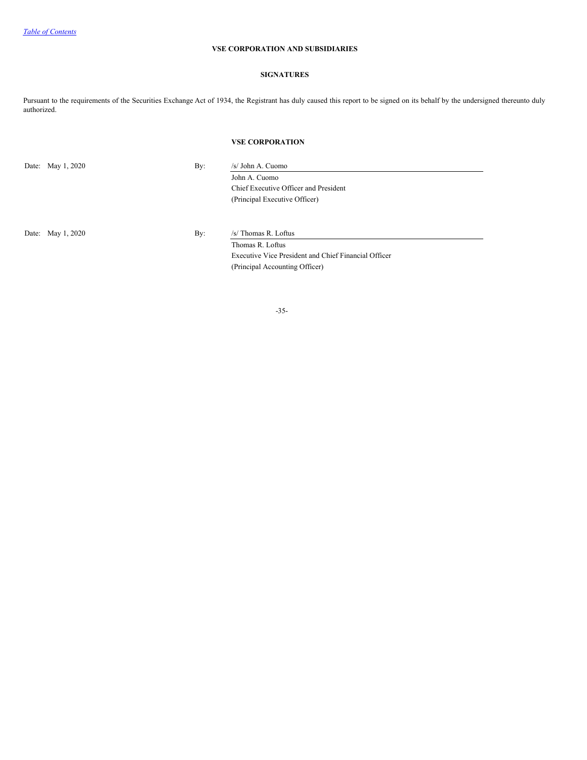# **VSE CORPORATION AND SUBSIDIARIES**

# **SIGNATURES**

<span id="page-34-0"></span>Pursuant to the requirements of the Securities Exchange Act of 1934, the Registrant has duly caused this report to be signed on its behalf by the undersigned thereunto duly authorized.

# **VSE CORPORATION**

Date: May 1, 2020 By: /s/ John A. Cuomo John A. Cuomo Chief Executive Officer and President (Principal Executive Officer) Date: May 1, 2020 By: /s/ Thomas R. Loftus Thomas R. Loftus Executive Vice President and Chief Financial Officer (Principal Accounting Officer)

-35-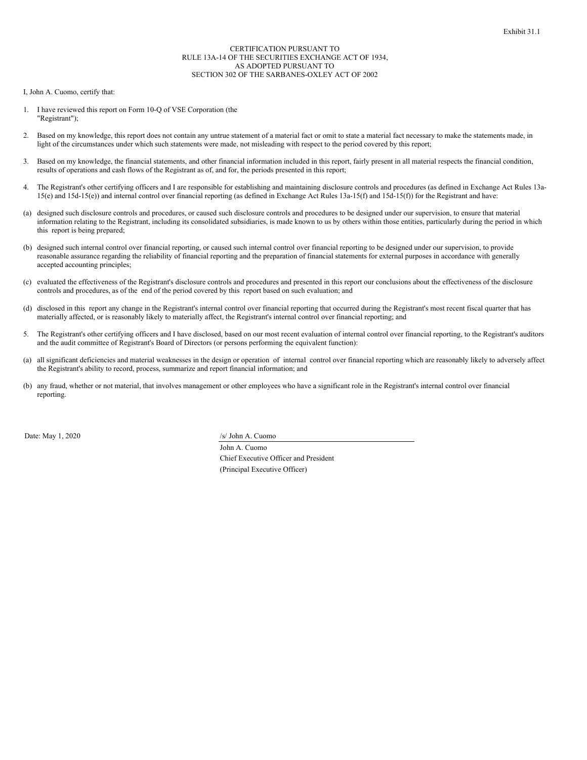# CERTIFICATION PURSUANT TO RULE 13A-14 OF THE SECURITIES EXCHANGE ACT OF 1934, AS ADOPTED PURSUANT TO SECTION 302 OF THE SARBANES-OXLEY ACT OF 2002

# <span id="page-35-0"></span>I, John A. Cuomo, certify that:

- 1. I have reviewed this report on Form 10-Q of VSE Corporation (the "Registrant");
- 2. Based on my knowledge, this report does not contain any untrue statement of a material fact or omit to state a material fact necessary to make the statements made, in light of the circumstances under which such statements were made, not misleading with respect to the period covered by this report;
- 3. Based on my knowledge, the financial statements, and other financial information included in this report, fairly present in all material respects the financial condition, results of operations and cash flows of the Registrant as of, and for, the periods presented in this report;
- 4. The Registrant's other certifying officers and I are responsible for establishing and maintaining disclosure controls and procedures (as defined in Exchange Act Rules 13a-15(e) and 15d-15(e)) and internal control over financial reporting (as defined in Exchange Act Rules 13a-15(f) and 15d-15(f)) for the Registrant and have:
- (a) designed such disclosure controls and procedures, or caused such disclosure controls and procedures to be designed under our supervision, to ensure that material information relating to the Registrant, including its consolidated subsidiaries, is made known to us by others within those entities, particularly during the period in which this report is being prepared;
- (b) designed such internal control over financial reporting, or caused such internal control over financial reporting to be designed under our supervision, to provide reasonable assurance regarding the reliability of financial reporting and the preparation of financial statements for external purposes in accordance with generally accepted accounting principles;
- (c) evaluated the effectiveness of the Registrant's disclosure controls and procedures and presented in this report our conclusions about the effectiveness of the disclosure controls and procedures, as of the end of the period covered by this report based on such evaluation; and
- (d) disclosed in this report any change in the Registrant's internal control over financial reporting that occurred during the Registrant's most recent fiscal quarter that has materially affected, or is reasonably likely to materially affect, the Registrant's internal control over financial reporting; and
- 5. The Registrant's other certifying officers and I have disclosed, based on our most recent evaluation of internal control over financial reporting, to the Registrant's auditors and the audit committee of Registrant's Board of Directors (or persons performing the equivalent function):
- (a) all significant deficiencies and material weaknesses in the design or operation of internal control over financial reporting which are reasonably likely to adversely affect the Registrant's ability to record, process, summarize and report financial information; and
- (b) any fraud, whether or not material, that involves management or other employees who have a significant role in the Registrant's internal control over financial reporting.

Date: May 1, 2020 /s/ John A. Cuomo

John A. Cuomo Chief Executive Officer and President (Principal Executive Officer)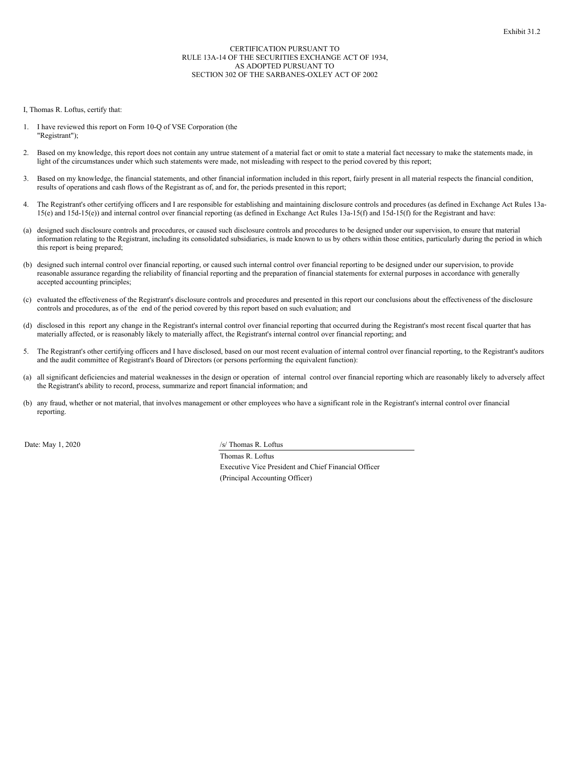# CERTIFICATION PURSUANT TO RULE 13A-14 OF THE SECURITIES EXCHANGE ACT OF 1934, AS ADOPTED PURSUANT TO SECTION 302 OF THE SARBANES-OXLEY ACT OF 2002

<span id="page-36-0"></span>I, Thomas R. Loftus, certify that:

- 1. I have reviewed this report on Form 10-Q of VSE Corporation (the "Registrant");
- 2. Based on my knowledge, this report does not contain any untrue statement of a material fact or omit to state a material fact necessary to make the statements made, in light of the circumstances under which such statements were made, not misleading with respect to the period covered by this report;
- 3. Based on my knowledge, the financial statements, and other financial information included in this report, fairly present in all material respects the financial condition, results of operations and cash flows of the Registrant as of, and for, the periods presented in this report;
- 4. The Registrant's other certifying officers and I are responsible for establishing and maintaining disclosure controls and procedures (as defined in Exchange Act Rules 13a-15(e) and 15d-15(e)) and internal control over financial reporting (as defined in Exchange Act Rules 13a-15(f) and 15d-15(f) for the Registrant and have:
- (a) designed such disclosure controls and procedures, or caused such disclosure controls and procedures to be designed under our supervision, to ensure that material information relating to the Registrant, including its consolidated subsidiaries, is made known to us by others within those entities, particularly during the period in which this report is being prepared;
- (b) designed such internal control over financial reporting, or caused such internal control over financial reporting to be designed under our supervision, to provide reasonable assurance regarding the reliability of financial reporting and the preparation of financial statements for external purposes in accordance with generally accepted accounting principles;
- (c) evaluated the effectiveness of the Registrant's disclosure controls and procedures and presented in this report our conclusions about the effectiveness of the disclosure controls and procedures, as of the end of the period covered by this report based on such evaluation; and
- (d) disclosed in this report any change in the Registrant's internal control over financial reporting that occurred during the Registrant's most recent fiscal quarter that has materially affected, or is reasonably likely to materially affect, the Registrant's internal control over financial reporting; and
- 5. The Registrant's other certifying officers and I have disclosed, based on our most recent evaluation of internal control over financial reporting, to the Registrant's auditors and the audit committee of Registrant's Board of Directors (or persons performing the equivalent function):
- (a) all significant deficiencies and material weaknesses in the design or operation of internal control over financial reporting which are reasonably likely to adversely affect the Registrant's ability to record, process, summarize and report financial information; and
- (b) any fraud, whether or not material, that involves management or other employees who have a significant role in the Registrant's internal control over financial reporting.

Date: May 1, 2020 /s/ Thomas R. Loftus

Thomas R. Loftus Executive Vice President and Chief Financial Officer (Principal Accounting Officer)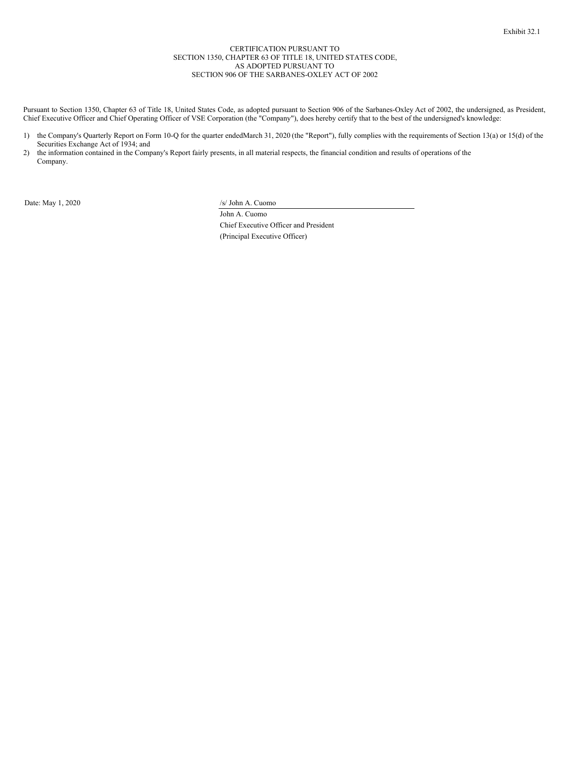# CERTIFICATION PURSUANT TO SECTION 1350, CHAPTER 63 OF TITLE 18, UNITED STATES CODE, AS ADOPTED PURSUANT TO SECTION 906 OF THE SARBANES-OXLEY ACT OF 2002

<span id="page-37-0"></span>Pursuant to Section 1350, Chapter 63 of Title 18, United States Code, as adopted pursuant to Section 906 of the Sarbanes-Oxley Act of 2002, the undersigned, as President, Chief Executive Officer and Chief Operating Officer of VSE Corporation (the "Company"), does hereby certify that to the best of the undersigned's knowledge:

- 1) the Company's Quarterly Report on Form 10-Q for the quarter endedMarch 31, 2020 (the "Report"), fully complies with the requirements of Section 13(a) or 15(d) of the Securities Exchange Act of 1934; and
- 2) the information contained in the Company's Report fairly presents, in all material respects, the financial condition and results of operations of the Company.

Date: May 1, 2020 /s/ John A. Cuomo

John A. Cuomo Chief Executive Officer and President (Principal Executive Officer)